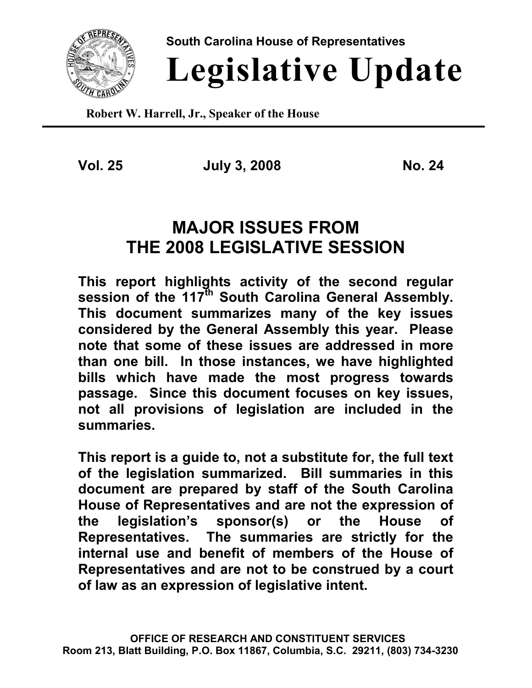

**South Carolina House of Representatives**

# **Legislative Update**

**Robert W. Harrell, Jr., Speaker of the House**

**Vol. 25 July 3, 2008 No. 24**

## **MAJOR ISSUES FROM THE 2008 LEGISLATIVE SESSION**

**This report highlights activity of the second regular session of the 117th South Carolina General Assembly. This document summarizes many of the key issues considered by the General Assembly this year. Please note that some of these issues are addressed in more than one bill. In those instances, we have highlighted bills which have made the most progress towards passage. Since this document focuses on key issues, not all provisions of legislation are included in the summaries.**

**This report is a guide to, not a substitute for, the full text of the legislation summarized. Bill summaries in this document are prepared by staff of the South Carolina House of Representatives and are not the expression of the legislation's sponsor(s) or the House of Representatives. The summaries are strictly for the internal use and benefit of members of the House of Representatives and are not to be construed by a court of law as an expression of legislative intent.**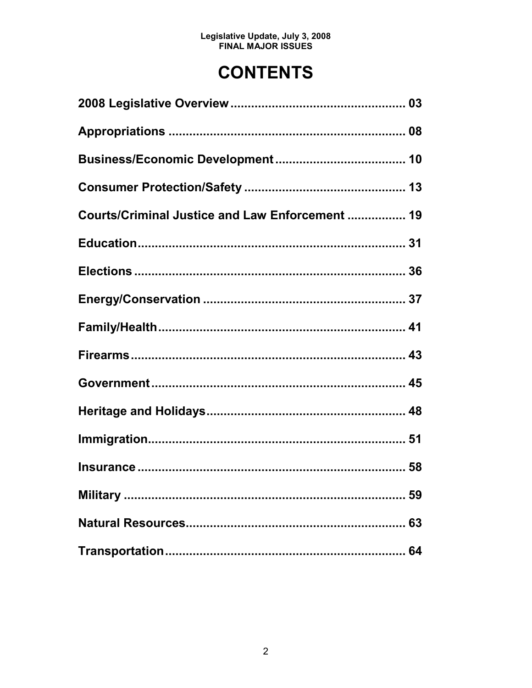## **CONTENTS**

| Courts/Criminal Justice and Law Enforcement  19 |  |
|-------------------------------------------------|--|
|                                                 |  |
|                                                 |  |
|                                                 |  |
|                                                 |  |
|                                                 |  |
|                                                 |  |
|                                                 |  |
|                                                 |  |
|                                                 |  |
|                                                 |  |
|                                                 |  |
|                                                 |  |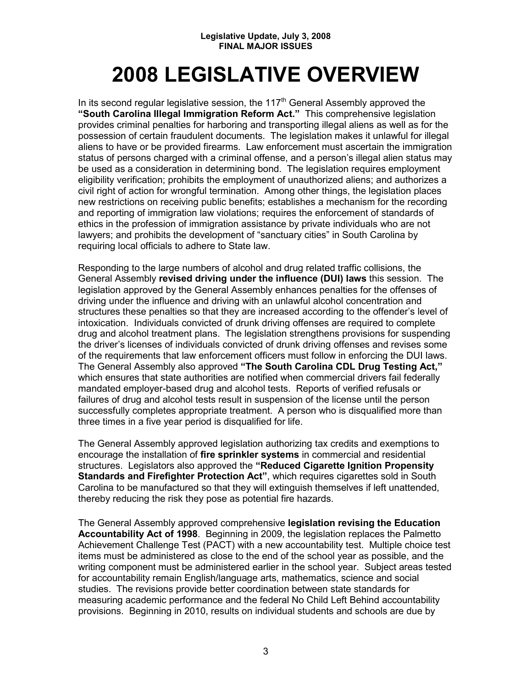## **2008 LEGISLATIVE OVERVIEW**

In its second regular legislative session, the  $117<sup>th</sup>$  General Assembly approved the **"South Carolina Illegal Immigration Reform Act."** This comprehensive legislation provides criminal penalties for harboring and transporting illegal aliens as well as for the possession of certain fraudulent documents. The legislation makes it unlawful for illegal aliens to have or be provided firearms. Law enforcement must ascertain the immigration status of persons charged with a criminal offense, and a person's illegal alien status may be used as a consideration in determining bond. The legislation requires employment eligibility verification; prohibits the employment of unauthorized aliens; and authorizes a civil right of action for wrongful termination. Among other things, the legislation places new restrictions on receiving public benefits; establishes a mechanism for the recording and reporting of immigration law violations; requires the enforcement of standards of ethics in the profession of immigration assistance by private individuals who are not lawyers; and prohibits the development of "sanctuary cities" in South Carolina by requiring local officials to adhere to State law.

Responding to the large numbers of alcohol and drug related traffic collisions, the General Assembly **revised driving under the influence (DUI) laws** this session. The legislation approved by the General Assembly enhances penalties for the offenses of driving under the influence and driving with an unlawful alcohol concentration and structures these penalties so that they are increased according to the offender's level of intoxication. Individuals convicted of drunk driving offenses are required to complete drug and alcohol treatment plans. The legislation strengthens provisions for suspending the driver's licenses of individuals convicted of drunk driving offenses and revises some of the requirements that law enforcement officers must follow in enforcing the DUI laws. The General Assembly also approved **"The South Carolina CDL Drug Testing Act,"** which ensures that state authorities are notified when commercial drivers fail federally mandated employer-based drug and alcohol tests. Reports of verified refusals or failures of drug and alcohol tests result in suspension of the license until the person successfully completes appropriate treatment. A person who is disqualified more than three times in a five year period is disqualified for life.

The General Assembly approved legislation authorizing tax credits and exemptions to encourage the installation of **fire sprinkler systems** in commercial and residential structures. Legislators also approved the **"Reduced Cigarette Ignition Propensity Standards and Firefighter Protection Act"**, which requires cigarettes sold in South Carolina to be manufactured so that they will extinguish themselves if left unattended, thereby reducing the risk they pose as potential fire hazards.

The General Assembly approved comprehensive **legislation revising the Education Accountability Act of 1998**. Beginning in 2009, the legislation replaces the Palmetto Achievement Challenge Test (PACT) with a new accountability test. Multiple choice test items must be administered as close to the end of the school year as possible, and the writing component must be administered earlier in the school year. Subject areas tested for accountability remain English/language arts, mathematics, science and social studies. The revisions provide better coordination between state standards for measuring academic performance and the federal No Child Left Behind accountability provisions. Beginning in 2010, results on individual students and schools are due by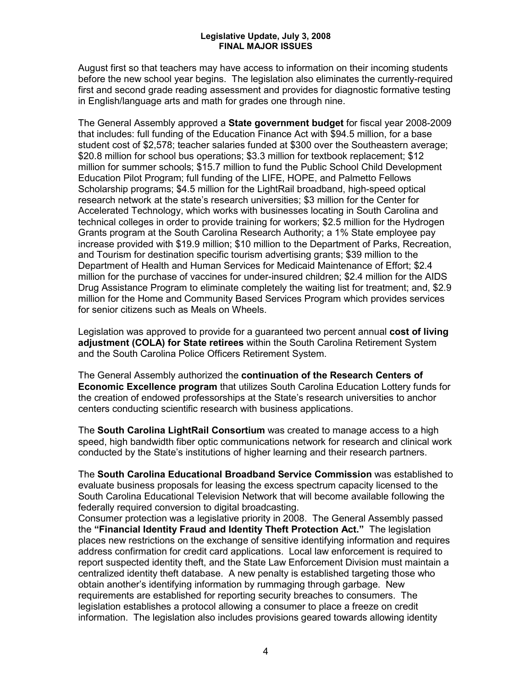August first so that teachers may have access to information on their incoming students before the new school year begins. The legislation also eliminates the currently-required first and second grade reading assessment and provides for diagnostic formative testing in English/language arts and math for grades one through nine.

The General Assembly approved a **State government budget** for fiscal year 2008-2009 that includes: full funding of the Education Finance Act with \$94.5 million, for a base student cost of \$2,578; teacher salaries funded at \$300 over the Southeastern average; \$20.8 million for school bus operations; \$3.3 million for textbook replacement; \$12 million for summer schools; \$15.7 million to fund the Public School Child Development Education Pilot Program; full funding of the LIFE, HOPE, and Palmetto Fellows Scholarship programs; \$4.5 million for the LightRail broadband, high-speed optical research network at the state's research universities; \$3 million for the Center for Accelerated Technology, which works with businesses locating in South Carolina and technical colleges in order to provide training for workers; \$2.5 million for the Hydrogen Grants program at the South Carolina Research Authority; a 1% State employee pay increase provided with \$19.9 million; \$10 million to the Department of Parks, Recreation, and Tourism for destination specific tourism advertising grants; \$39 million to the Department of Health and Human Services for Medicaid Maintenance of Effort; \$2.4 million for the purchase of vaccines for under-insured children; \$2.4 million for the AIDS Drug Assistance Program to eliminate completely the waiting list for treatment; and, \$2.9 million for the Home and Community Based Services Program which provides services for senior citizens such as Meals on Wheels.

Legislation was approved to provide for a guaranteed two percent annual **cost of living adjustment (COLA) for State retirees** within the South Carolina Retirement System and the South Carolina Police Officers Retirement System.

The General Assembly authorized the **continuation of the Research Centers of Economic Excellence program** that utilizes South Carolina Education Lottery funds for the creation of endowed professorships at the State's research universities to anchor centers conducting scientific research with business applications.

The **South Carolina LightRail Consortium** was created to manage access to a high speed, high bandwidth fiber optic communications network for research and clinical work conducted by the State's institutions of higher learning and their research partners.

The **South Carolina Educational Broadband Service Commission** was established to evaluate business proposals for leasing the excess spectrum capacity licensed to the South Carolina Educational Television Network that will become available following the federally required conversion to digital broadcasting.

Consumer protection was a legislative priority in 2008. The General Assembly passed the **"Financial Identity Fraud and Identity Theft Protection Act."** The legislation places new restrictions on the exchange of sensitive identifying information and requires address confirmation for credit card applications. Local law enforcement is required to report suspected identity theft, and the State Law Enforcement Division must maintain a centralized identity theft database. A new penalty is established targeting those who obtain another's identifying information by rummaging through garbage. New requirements are established for reporting security breaches to consumers. The legislation establishes a protocol allowing a consumer to place a freeze on credit information. The legislation also includes provisions geared towards allowing identity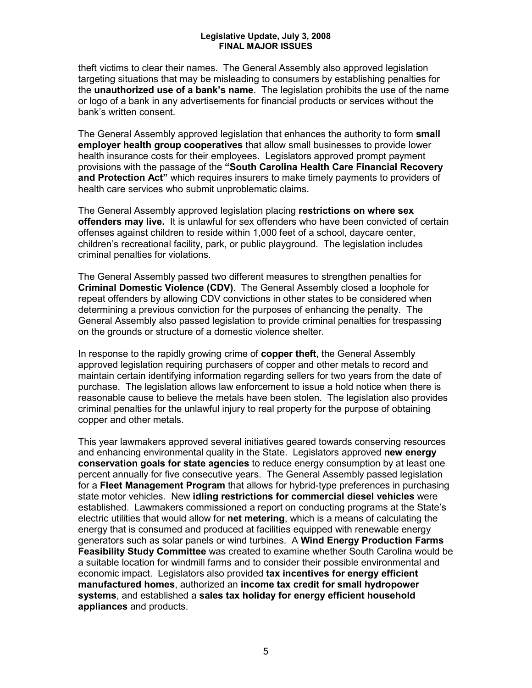theft victims to clear their names. The General Assembly also approved legislation targeting situations that may be misleading to consumers by establishing penalties for the **unauthorized use of a bank's name**. The legislation prohibits the use of the name or logo of a bank in any advertisements for financial products or services without the bank's written consent.

The General Assembly approved legislation that enhances the authority to form **small employer health group cooperatives** that allow small businesses to provide lower health insurance costs for their employees. Legislators approved prompt payment provisions with the passage of the **"South Carolina Health Care Financial Recovery and Protection Act"** which requires insurers to make timely payments to providers of health care services who submit unproblematic claims.

The General Assembly approved legislation placing **restrictions on where sex offenders may live.** It is unlawful for sex offenders who have been convicted of certain offenses against children to reside within 1,000 feet of a school, daycare center, children's recreational facility, park, or public playground. The legislation includes criminal penalties for violations.

The General Assembly passed two different measures to strengthen penalties for **Criminal Domestic Violence (CDV)**. The General Assembly closed a loophole for repeat offenders by allowing CDV convictions in other states to be considered when determining a previous conviction for the purposes of enhancing the penalty. The General Assembly also passed legislation to provide criminal penalties for trespassing on the grounds or structure of a domestic violence shelter.

In response to the rapidly growing crime of **copper theft**, the General Assembly approved legislation requiring purchasers of copper and other metals to record and maintain certain identifying information regarding sellers for two years from the date of purchase. The legislation allows law enforcement to issue a hold notice when there is reasonable cause to believe the metals have been stolen. The legislation also provides criminal penalties for the unlawful injury to real property for the purpose of obtaining copper and other metals.

This year lawmakers approved several initiatives geared towards conserving resources and enhancing environmental quality in the State. Legislators approved **new energy conservation goals for state agencies** to reduce energy consumption by at least one percent annually for five consecutive years. The General Assembly passed legislation for a **Fleet Management Program** that allows for hybrid-type preferences in purchasing state motor vehicles. New **idling restrictions for commercial diesel vehicles** were established. Lawmakers commissioned a report on conducting programs at the State's electric utilities that would allow for **net metering**, which is a means of calculating the energy that is consumed and produced at facilities equipped with renewable energy generators such as solar panels or wind turbines. A **Wind Energy Production Farms Feasibility Study Committee** was created to examine whether South Carolina would be a suitable location for windmill farms and to consider their possible environmental and economic impact. Legislators also provided **tax incentives for energy efficient manufactured homes**, authorized an **income tax credit for small hydropower systems**, and established a **sales tax holiday for energy efficient household appliances** and products.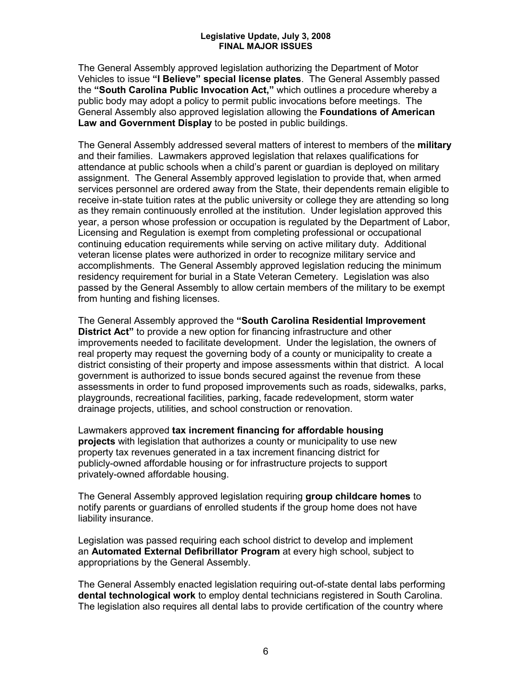The General Assembly approved legislation authorizing the Department of Motor Vehicles to issue **"I Believe" special license plates**. The General Assembly passed the **"South Carolina Public Invocation Act,"** which outlines a procedure whereby a public body may adopt a policy to permit public invocations before meetings. The General Assembly also approved legislation allowing the **Foundations of American Law and Government Display** to be posted in public buildings.

The General Assembly addressed several matters of interest to members of the **military** and their families. Lawmakers approved legislation that relaxes qualifications for attendance at public schools when a child's parent or guardian is deployed on military assignment. The General Assembly approved legislation to provide that, when armed services personnel are ordered away from the State, their dependents remain eligible to receive in-state tuition rates at the public university or college they are attending so long as they remain continuously enrolled at the institution. Under legislation approved this year, a person whose profession or occupation is regulated by the Department of Labor, Licensing and Regulation is exempt from completing professional or occupational continuing education requirements while serving on active military duty. Additional veteran license plates were authorized in order to recognize military service and accomplishments. The General Assembly approved legislation reducing the minimum residency requirement for burial in a State Veteran Cemetery. Legislation was also passed by the General Assembly to allow certain members of the military to be exempt from hunting and fishing licenses.

The General Assembly approved the **"South Carolina Residential Improvement District Act"** to provide a new option for financing infrastructure and other improvements needed to facilitate development. Under the legislation, the owners of real property may request the governing body of a county or municipality to create a district consisting of their property and impose assessments within that district. A local government is authorized to issue bonds secured against the revenue from these assessments in order to fund proposed improvements such as roads, sidewalks, parks, playgrounds, recreational facilities, parking, facade redevelopment, storm water drainage projects, utilities, and school construction or renovation.

Lawmakers approved **tax increment financing for affordable housing projects** with legislation that authorizes a county or municipality to use new property tax revenues generated in a tax increment financing district for publicly-owned affordable housing or for infrastructure projects to support privately-owned affordable housing.

The General Assembly approved legislation requiring **group childcare homes** to notify parents or guardians of enrolled students if the group home does not have liability insurance.

Legislation was passed requiring each school district to develop and implement an **Automated External Defibrillator Program** at every high school, subject to appropriations by the General Assembly.

The General Assembly enacted legislation requiring out-of-state dental labs performing **dental technological work** to employ dental technicians registered in South Carolina. The legislation also requires all dental labs to provide certification of the country where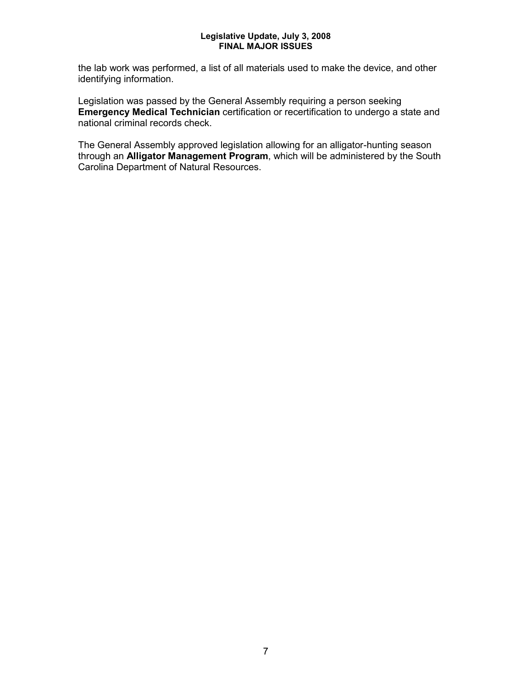the lab work was performed, a list of all materials used to make the device, and other identifying information.

Legislation was passed by the General Assembly requiring a person seeking **Emergency Medical Technician** certification or recertification to undergo a state and national criminal records check.

The General Assembly approved legislation allowing for an alligator-hunting season through an **Alligator Management Program**, which will be administered by the South Carolina Department of Natural Resources.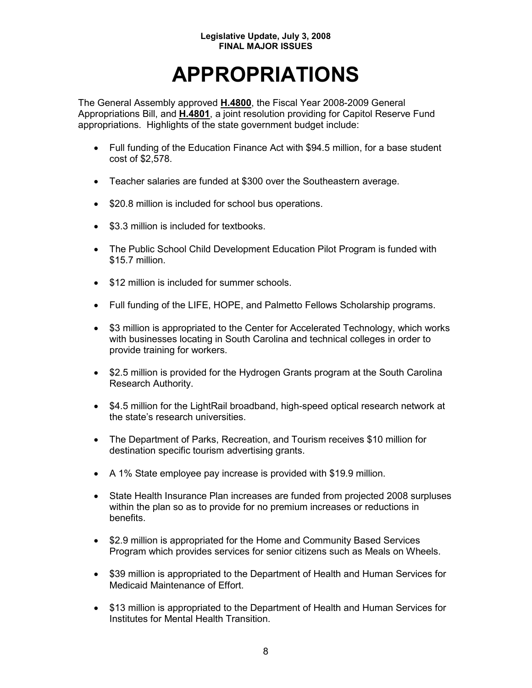## **APPROPRIATIONS**

The General Assembly approved **H.4800**, the Fiscal Year 2008-2009 General Appropriations Bill, and **H.4801**, a joint resolution providing for Capitol Reserve Fund appropriations. Highlights of the state government budget include:

- Full funding of the Education Finance Act with \$94.5 million, for a base student cost of \$2,578.
- Teacher salaries are funded at \$300 over the Southeastern average.
- \$20.8 million is included for school bus operations.
- \$3.3 million is included for textbooks.
- The Public School Child Development Education Pilot Program is funded with \$15.7 million.
- \$12 million is included for summer schools.
- Full funding of the LIFE, HOPE, and Palmetto Fellows Scholarship programs.
- \$3 million is appropriated to the Center for Accelerated Technology, which works with businesses locating in South Carolina and technical colleges in order to provide training for workers.
- \$2.5 million is provided for the Hydrogen Grants program at the South Carolina Research Authority.
- \$4.5 million for the LightRail broadband, high-speed optical research network at the state's research universities.
- The Department of Parks, Recreation, and Tourism receives \$10 million for destination specific tourism advertising grants.
- A 1% State employee pay increase is provided with \$19.9 million.
- State Health Insurance Plan increases are funded from projected 2008 surpluses within the plan so as to provide for no premium increases or reductions in benefits.
- \$2.9 million is appropriated for the Home and Community Based Services Program which provides services for senior citizens such as Meals on Wheels.
- \$39 million is appropriated to the Department of Health and Human Services for Medicaid Maintenance of Effort.
- \$13 million is appropriated to the Department of Health and Human Services for Institutes for Mental Health Transition.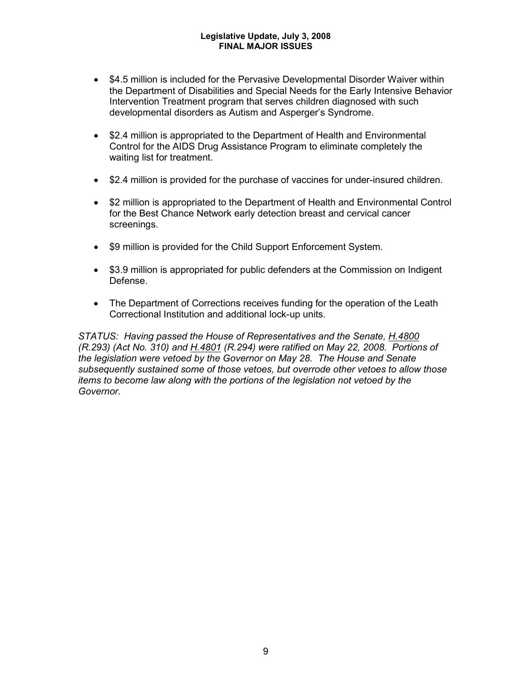- \$4.5 million is included for the Pervasive Developmental Disorder Waiver within the Department of Disabilities and Special Needs for the Early Intensive Behavior Intervention Treatment program that serves children diagnosed with such developmental disorders as Autism and Asperger's Syndrome.
- \$2.4 million is appropriated to the Department of Health and Environmental Control for the AIDS Drug Assistance Program to eliminate completely the waiting list for treatment.
- \$2.4 million is provided for the purchase of vaccines for under-insured children.
- \$2 million is appropriated to the Department of Health and Environmental Control for the Best Chance Network early detection breast and cervical cancer screenings.
- \$9 million is provided for the Child Support Enforcement System.
- \$3.9 million is appropriated for public defenders at the Commission on Indigent Defense.
- The Department of Corrections receives funding for the operation of the Leath Correctional Institution and additional lock-up units.

*STATUS: Having passed the House of Representatives and the Senate, H.4800 (R.293) (Act No. 310) and H.4801 (R.294) were ratified on May 22, 2008. Portions of the legislation were vetoed by the Governor on May 28. The House and Senate subsequently sustained some of those vetoes, but overrode other vetoes to allow those items to become law along with the portions of the legislation not vetoed by the Governor.*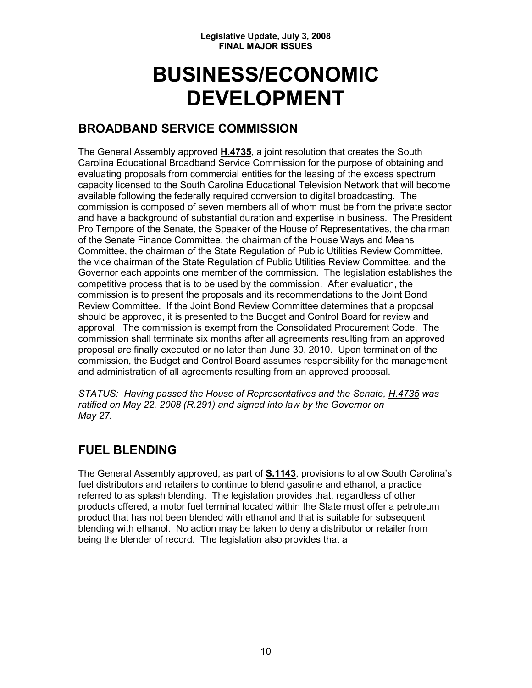## **BUSINESS/ECONOMIC DEVELOPMENT**

## **BROADBAND SERVICE COMMISSION**

The General Assembly approved **H.4735**, a joint resolution that creates the South Carolina Educational Broadband Service Commission for the purpose of obtaining and evaluating proposals from commercial entities for the leasing of the excess spectrum capacity licensed to the South Carolina Educational Television Network that will become available following the federally required conversion to digital broadcasting. The commission is composed of seven members all of whom must be from the private sector and have a background of substantial duration and expertise in business. The President Pro Tempore of the Senate, the Speaker of the House of Representatives, the chairman of the Senate Finance Committee, the chairman of the House Ways and Means Committee, the chairman of the State Regulation of Public Utilities Review Committee, the vice chairman of the State Regulation of Public Utilities Review Committee, and the Governor each appoints one member of the commission. The legislation establishes the competitive process that is to be used by the commission. After evaluation, the commission is to present the proposals and its recommendations to the Joint Bond Review Committee. If the Joint Bond Review Committee determines that a proposal should be approved, it is presented to the Budget and Control Board for review and approval. The commission is exempt from the Consolidated Procurement Code. The commission shall terminate six months after all agreements resulting from an approved proposal are finally executed or no later than June 30, 2010. Upon termination of the commission, the Budget and Control Board assumes responsibility for the management and administration of all agreements resulting from an approved proposal.

*STATUS: Having passed the House of Representatives and the Senate, H.4735 was ratified on May 22, 2008 (R.291) and signed into law by the Governor on May 27.*

## **FUEL BLENDING**

The General Assembly approved, as part of **S.1143**, provisions to allow South Carolina's fuel distributors and retailers to continue to blend gasoline and ethanol, a practice referred to as splash blending. The legislation provides that, regardless of other products offered, a motor fuel terminal located within the State must offer a petroleum product that has not been blended with ethanol and that is suitable for subsequent blending with ethanol. No action may be taken to deny a distributor or retailer from being the blender of record. The legislation also provides that a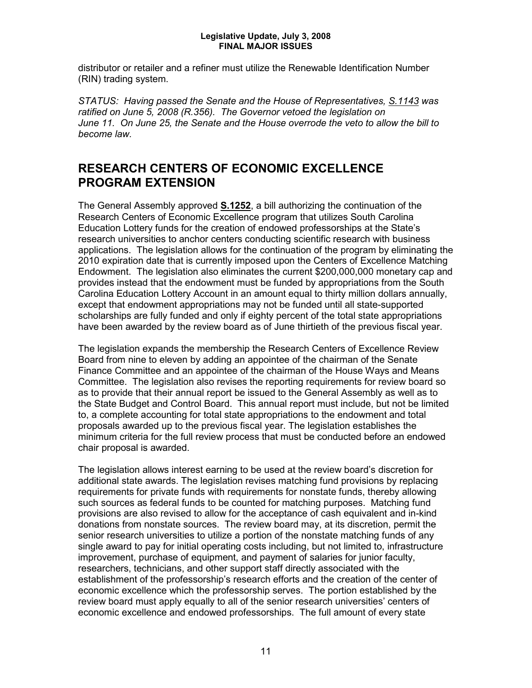distributor or retailer and a refiner must utilize the Renewable Identification Number (RIN) trading system.

*STATUS: Having passed the Senate and the House of Representatives, S.1143 was ratified on June 5, 2008 (R.356). The Governor vetoed the legislation on June 11. On June 25, the Senate and the House overrode the veto to allow the bill to become law.*

## **RESEARCH CENTERS OF ECONOMIC EXCELLENCE PROGRAM EXTENSION**

The General Assembly approved **S.1252**, a bill authorizing the continuation of the Research Centers of Economic Excellence program that utilizes South Carolina Education Lottery funds for the creation of endowed professorships at the State's research universities to anchor centers conducting scientific research with business applications. The legislation allows for the continuation of the program by eliminating the 2010 expiration date that is currently imposed upon the Centers of Excellence Matching Endowment. The legislation also eliminates the current \$200,000,000 monetary cap and provides instead that the endowment must be funded by appropriations from the South Carolina Education Lottery Account in an amount equal to thirty million dollars annually, except that endowment appropriations may not be funded until all state-supported scholarships are fully funded and only if eighty percent of the total state appropriations have been awarded by the review board as of June thirtieth of the previous fiscal year.

The legislation expands the membership the Research Centers of Excellence Review Board from nine to eleven by adding an appointee of the chairman of the Senate Finance Committee and an appointee of the chairman of the House Ways and Means Committee. The legislation also revises the reporting requirements for review board so as to provide that their annual report be issued to the General Assembly as well as to the State Budget and Control Board. This annual report must include, but not be limited to, a complete accounting for total state appropriations to the endowment and total proposals awarded up to the previous fiscal year. The legislation establishes the minimum criteria for the full review process that must be conducted before an endowed chair proposal is awarded.

The legislation allows interest earning to be used at the review board's discretion for additional state awards. The legislation revises matching fund provisions by replacing requirements for private funds with requirements for nonstate funds, thereby allowing such sources as federal funds to be counted for matching purposes. Matching fund provisions are also revised to allow for the acceptance of cash equivalent and in-kind donations from nonstate sources. The review board may, at its discretion, permit the senior research universities to utilize a portion of the nonstate matching funds of any single award to pay for initial operating costs including, but not limited to, infrastructure improvement, purchase of equipment, and payment of salaries for junior faculty, researchers, technicians, and other support staff directly associated with the establishment of the professorship's research efforts and the creation of the center of economic excellence which the professorship serves. The portion established by the review board must apply equally to all of the senior research universities' centers of economic excellence and endowed professorships. The full amount of every state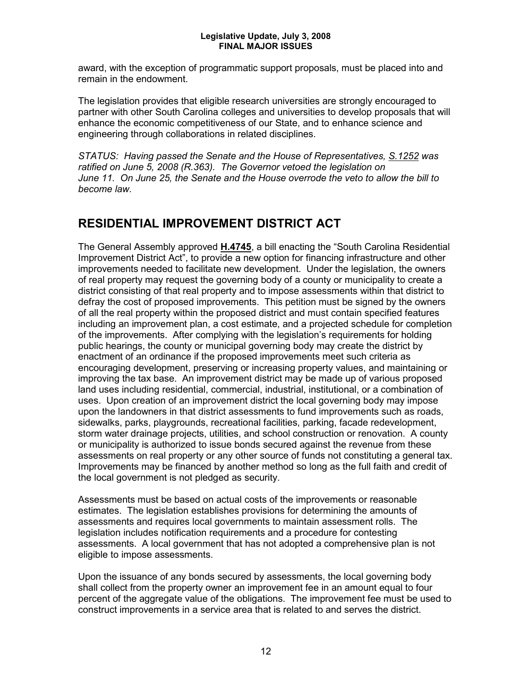award, with the exception of programmatic support proposals, must be placed into and remain in the endowment.

The legislation provides that eligible research universities are strongly encouraged to partner with other South Carolina colleges and universities to develop proposals that will enhance the economic competitiveness of our State, and to enhance science and engineering through collaborations in related disciplines.

*STATUS: Having passed the Senate and the House of Representatives, S.1252 was ratified on June 5, 2008 (R.363). The Governor vetoed the legislation on June 11. On June 25, the Senate and the House overrode the veto to allow the bill to become law.* 

## **RESIDENTIAL IMPROVEMENT DISTRICT ACT**

The General Assembly approved **H.4745**, a bill enacting the "South Carolina Residential Improvement District Act", to provide a new option for financing infrastructure and other improvements needed to facilitate new development. Under the legislation, the owners of real property may request the governing body of a county or municipality to create a district consisting of that real property and to impose assessments within that district to defray the cost of proposed improvements. This petition must be signed by the owners of all the real property within the proposed district and must contain specified features including an improvement plan, a cost estimate, and a projected schedule for completion of the improvements. After complying with the legislation's requirements for holding public hearings, the county or municipal governing body may create the district by enactment of an ordinance if the proposed improvements meet such criteria as encouraging development, preserving or increasing property values, and maintaining or improving the tax base. An improvement district may be made up of various proposed land uses including residential, commercial, industrial, institutional, or a combination of uses. Upon creation of an improvement district the local governing body may impose upon the landowners in that district assessments to fund improvements such as roads, sidewalks, parks, playgrounds, recreational facilities, parking, facade redevelopment, storm water drainage projects, utilities, and school construction or renovation. A county or municipality is authorized to issue bonds secured against the revenue from these assessments on real property or any other source of funds not constituting a general tax. Improvements may be financed by another method so long as the full faith and credit of the local government is not pledged as security.

Assessments must be based on actual costs of the improvements or reasonable estimates. The legislation establishes provisions for determining the amounts of assessments and requires local governments to maintain assessment rolls. The legislation includes notification requirements and a procedure for contesting assessments. A local government that has not adopted a comprehensive plan is not eligible to impose assessments.

Upon the issuance of any bonds secured by assessments, the local governing body shall collect from the property owner an improvement fee in an amount equal to four percent of the aggregate value of the obligations. The improvement fee must be used to construct improvements in a service area that is related to and serves the district.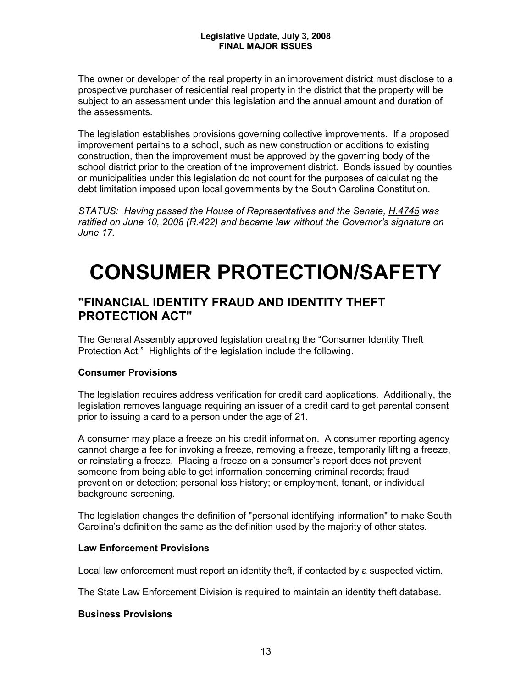The owner or developer of the real property in an improvement district must disclose to a prospective purchaser of residential real property in the district that the property will be subject to an assessment under this legislation and the annual amount and duration of the assessments.

The legislation establishes provisions governing collective improvements. If a proposed improvement pertains to a school, such as new construction or additions to existing construction, then the improvement must be approved by the governing body of the school district prior to the creation of the improvement district. Bonds issued by counties or municipalities under this legislation do not count for the purposes of calculating the debt limitation imposed upon local governments by the South Carolina Constitution.

*STATUS: Having passed the House of Representatives and the Senate, H.4745 was ratified on June 10, 2008 (R.422) and became law without the Governor's signature on June 17.*

## **CONSUMER PROTECTION/SAFETY**

## **"FINANCIAL IDENTITY FRAUD AND IDENTITY THEFT PROTECTION ACT"**

The General Assembly approved legislation creating the "Consumer Identity Theft Protection Act." Highlights of the legislation include the following.

### **Consumer Provisions**

The legislation requires address verification for credit card applications. Additionally, the legislation removes language requiring an issuer of a credit card to get parental consent prior to issuing a card to a person under the age of 21.

A consumer may place a freeze on his credit information. A consumer reporting agency cannot charge a fee for invoking a freeze, removing a freeze, temporarily lifting a freeze, or reinstating a freeze. Placing a freeze on a consumer's report does not prevent someone from being able to get information concerning criminal records; fraud prevention or detection; personal loss history; or employment, tenant, or individual background screening.

The legislation changes the definition of "personal identifying information" to make South Carolina's definition the same as the definition used by the majority of other states.

#### **Law Enforcement Provisions**

Local law enforcement must report an identity theft, if contacted by a suspected victim.

The State Law Enforcement Division is required to maintain an identity theft database.

### **Business Provisions**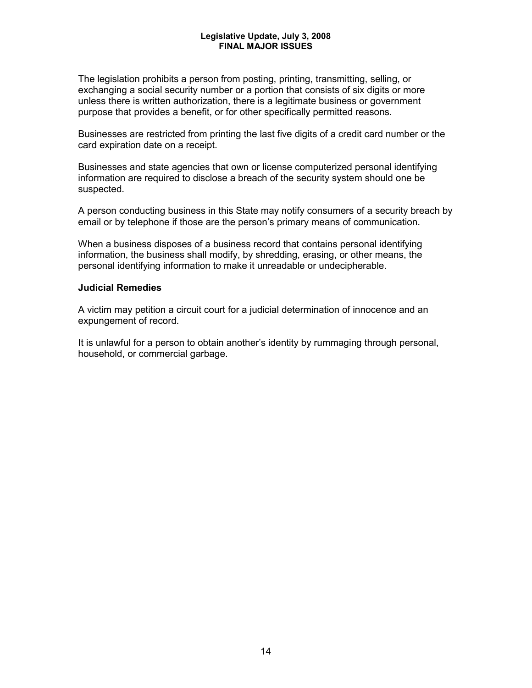The legislation prohibits a person from posting, printing, transmitting, selling, or exchanging a social security number or a portion that consists of six digits or more unless there is written authorization, there is a legitimate business or government purpose that provides a benefit, or for other specifically permitted reasons.

Businesses are restricted from printing the last five digits of a credit card number or the card expiration date on a receipt.

Businesses and state agencies that own or license computerized personal identifying information are required to disclose a breach of the security system should one be suspected.

A person conducting business in this State may notify consumers of a security breach by email or by telephone if those are the person's primary means of communication.

When a business disposes of a business record that contains personal identifying information, the business shall modify, by shredding, erasing, or other means, the personal identifying information to make it unreadable or undecipherable.

#### **Judicial Remedies**

A victim may petition a circuit court for a judicial determination of innocence and an expungement of record.

It is unlawful for a person to obtain another's identity by rummaging through personal, household, or commercial garbage.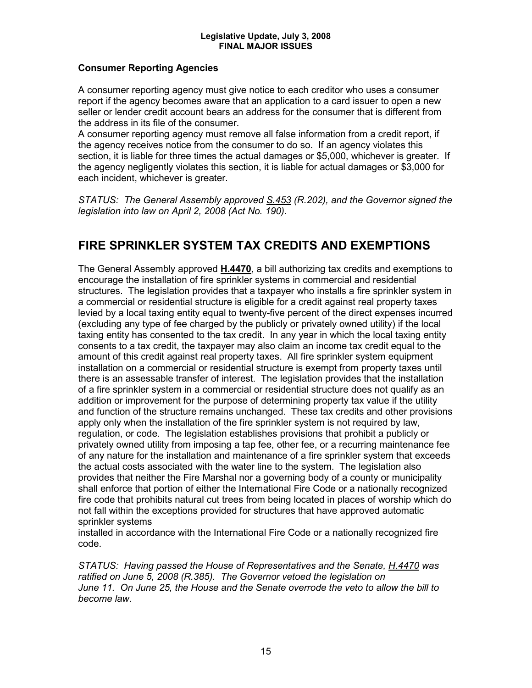#### **Consumer Reporting Agencies**

A consumer reporting agency must give notice to each creditor who uses a consumer report if the agency becomes aware that an application to a card issuer to open a new seller or lender credit account bears an address for the consumer that is different from the address in its file of the consumer.

A consumer reporting agency must remove all false information from a credit report, if the agency receives notice from the consumer to do so. If an agency violates this section, it is liable for three times the actual damages or \$5,000, whichever is greater. If the agency negligently violates this section, it is liable for actual damages or \$3,000 for each incident, whichever is greater.

*STATUS: The General Assembly approved S.453 (R.202), and the Governor signed the legislation into law on April 2, 2008 (Act No. 190).*

## **FIRE SPRINKLER SYSTEM TAX CREDITS AND EXEMPTIONS**

The General Assembly approved **H.4470**, a bill authorizing tax credits and exemptions to encourage the installation of fire sprinkler systems in commercial and residential structures. The legislation provides that a taxpayer who installs a fire sprinkler system in a commercial or residential structure is eligible for a credit against real property taxes levied by a local taxing entity equal to twenty-five percent of the direct expenses incurred (excluding any type of fee charged by the publicly or privately owned utility) if the local taxing entity has consented to the tax credit. In any year in which the local taxing entity consents to a tax credit, the taxpayer may also claim an income tax credit equal to the amount of this credit against real property taxes. All fire sprinkler system equipment installation on a commercial or residential structure is exempt from property taxes until there is an assessable transfer of interest. The legislation provides that the installation of a fire sprinkler system in a commercial or residential structure does not qualify as an addition or improvement for the purpose of determining property tax value if the utility and function of the structure remains unchanged. These tax credits and other provisions apply only when the installation of the fire sprinkler system is not required by law, regulation, or code. The legislation establishes provisions that prohibit a publicly or privately owned utility from imposing a tap fee, other fee, or a recurring maintenance fee of any nature for the installation and maintenance of a fire sprinkler system that exceeds the actual costs associated with the water line to the system. The legislation also provides that neither the Fire Marshal nor a governing body of a county or municipality shall enforce that portion of either the International Fire Code or a nationally recognized fire code that prohibits natural cut trees from being located in places of worship which do not fall within the exceptions provided for structures that have approved automatic sprinkler systems

installed in accordance with the International Fire Code or a nationally recognized fire code.

*STATUS: Having passed the House of Representatives and the Senate, H.4470 was ratified on June 5, 2008 (R.385). The Governor vetoed the legislation on June 11. On June 25, the House and the Senate overrode the veto to allow the bill to become law.*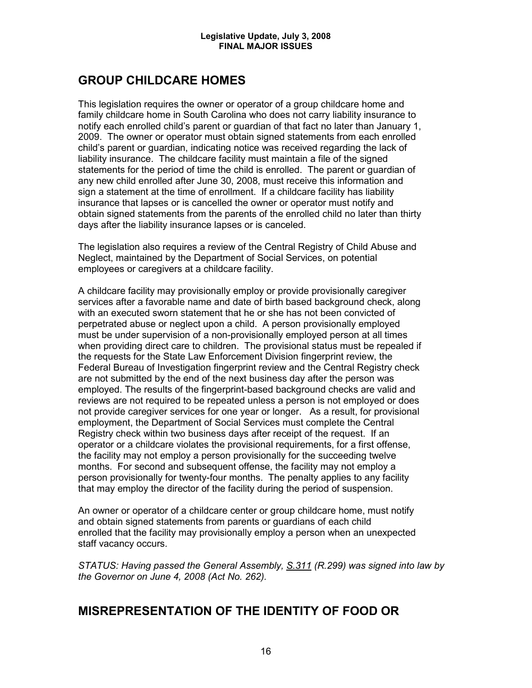## **GROUP CHILDCARE HOMES**

This legislation requires the owner or operator of a group childcare home and family childcare home in South Carolina who does not carry liability insurance to notify each enrolled child's parent or guardian of that fact no later than January 1, 2009. The owner or operator must obtain signed statements from each enrolled child's parent or guardian, indicating notice was received regarding the lack of liability insurance. The childcare facility must maintain a file of the signed statements for the period of time the child is enrolled. The parent or guardian of any new child enrolled after June 30, 2008, must receive this information and sign a statement at the time of enrollment. If a childcare facility has liability insurance that lapses or is cancelled the owner or operator must notify and obtain signed statements from the parents of the enrolled child no later than thirty days after the liability insurance lapses or is canceled.

The legislation also requires a review of the Central Registry of Child Abuse and Neglect, maintained by the Department of Social Services, on potential employees or caregivers at a childcare facility.

A childcare facility may provisionally employ or provide provisionally caregiver services after a favorable name and date of birth based background check, along with an executed sworn statement that he or she has not been convicted of perpetrated abuse or neglect upon a child. A person provisionally employed must be under supervision of a non-provisionally employed person at all times when providing direct care to children. The provisional status must be repealed if the requests for the State Law Enforcement Division fingerprint review, the Federal Bureau of Investigation fingerprint review and the Central Registry check are not submitted by the end of the next business day after the person was employed. The results of the fingerprint-based background checks are valid and reviews are not required to be repeated unless a person is not employed or does not provide caregiver services for one year or longer. As a result, for provisional employment, the Department of Social Services must complete the Central Registry check within two business days after receipt of the request. If an operator or a childcare violates the provisional requirements, for a first offense, the facility may not employ a person provisionally for the succeeding twelve months. For second and subsequent offense, the facility may not employ a person provisionally for twenty-four months. The penalty applies to any facility that may employ the director of the facility during the period of suspension.

An owner or operator of a childcare center or group childcare home, must notify and obtain signed statements from parents or guardians of each child enrolled that the facility may provisionally employ a person when an unexpected staff vacancy occurs.

*STATUS: Having passed the General Assembly, S.311 (R.299) was signed into law by the Governor on June 4, 2008 (Act No. 262).*

## **MISREPRESENTATION OF THE IDENTITY OF FOOD OR**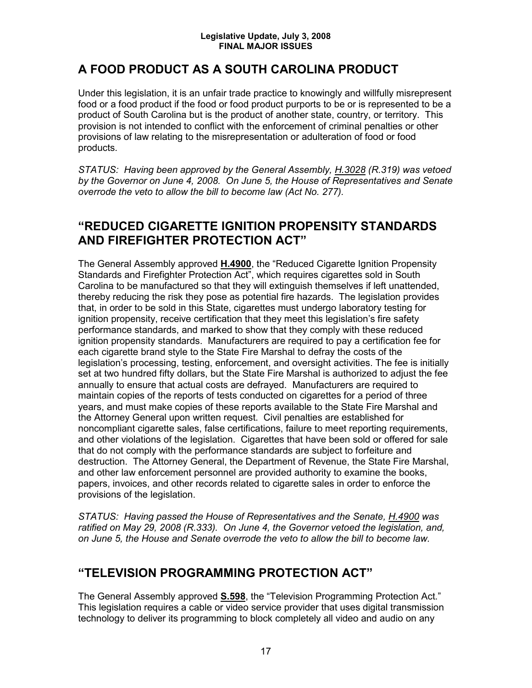## **A FOOD PRODUCT AS A SOUTH CAROLINA PRODUCT**

Under this legislation, it is an unfair trade practice to knowingly and willfully misrepresent food or a food product if the food or food product purports to be or is represented to be a product of South Carolina but is the product of another state, country, or territory. This provision is not intended to conflict with the enforcement of criminal penalties or other provisions of law relating to the misrepresentation or adulteration of food or food products.

*STATUS: Having been approved by the General Assembly, H.3028 (R.319) was vetoed by the Governor on June 4, 2008. On June 5, the House of Representatives and Senate overrode the veto to allow the bill to become law (Act No. 277).*

## **"REDUCED CIGARETTE IGNITION PROPENSITY STANDARDS AND FIREFIGHTER PROTECTION ACT"**

The General Assembly approved **H.4900**, the "Reduced Cigarette Ignition Propensity Standards and Firefighter Protection Act", which requires cigarettes sold in South Carolina to be manufactured so that they will extinguish themselves if left unattended, thereby reducing the risk they pose as potential fire hazards. The legislation provides that, in order to be sold in this State, cigarettes must undergo laboratory testing for ignition propensity, receive certification that they meet this legislation's fire safety performance standards, and marked to show that they comply with these reduced ignition propensity standards. Manufacturers are required to pay a certification fee for each cigarette brand style to the State Fire Marshal to defray the costs of the legislation's processing, testing, enforcement, and oversight activities. The fee is initially set at two hundred fifty dollars, but the State Fire Marshal is authorized to adjust the fee annually to ensure that actual costs are defrayed. Manufacturers are required to maintain copies of the reports of tests conducted on cigarettes for a period of three years, and must make copies of these reports available to the State Fire Marshal and the Attorney General upon written request. Civil penalties are established for noncompliant cigarette sales, false certifications, failure to meet reporting requirements, and other violations of the legislation. Cigarettes that have been sold or offered for sale that do not comply with the performance standards are subject to forfeiture and destruction. The Attorney General, the Department of Revenue, the State Fire Marshal, and other law enforcement personnel are provided authority to examine the books, papers, invoices, and other records related to cigarette sales in order to enforce the provisions of the legislation.

*STATUS: Having passed the House of Representatives and the Senate, H.4900 was ratified on May 29, 2008 (R.333). On June 4, the Governor vetoed the legislation, and, on June 5, the House and Senate overrode the veto to allow the bill to become law.*

## **"TELEVISION PROGRAMMING PROTECTION ACT"**

The General Assembly approved **S.598**, the "Television Programming Protection Act." This legislation requires a cable or video service provider that uses digital transmission technology to deliver its programming to block completely all video and audio on any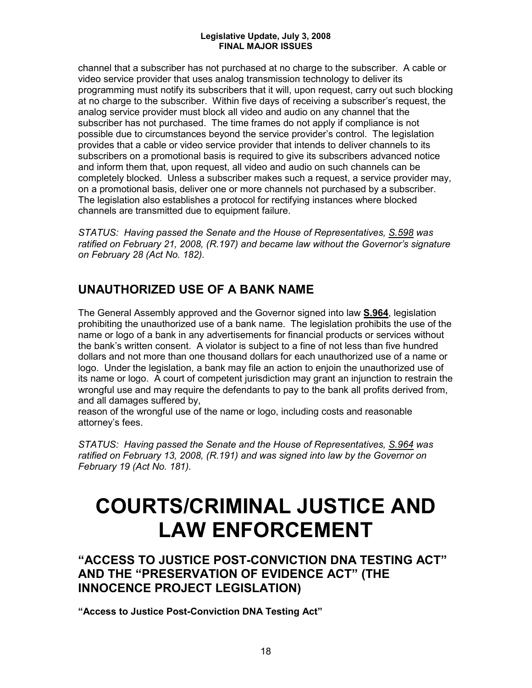channel that a subscriber has not purchased at no charge to the subscriber. A cable or video service provider that uses analog transmission technology to deliver its programming must notify its subscribers that it will, upon request, carry out such blocking at no charge to the subscriber. Within five days of receiving a subscriber's request, the analog service provider must block all video and audio on any channel that the subscriber has not purchased. The time frames do not apply if compliance is not possible due to circumstances beyond the service provider's control. The legislation provides that a cable or video service provider that intends to deliver channels to its subscribers on a promotional basis is required to give its subscribers advanced notice and inform them that, upon request, all video and audio on such channels can be completely blocked. Unless a subscriber makes such a request, a service provider may, on a promotional basis, deliver one or more channels not purchased by a subscriber. The legislation also establishes a protocol for rectifying instances where blocked channels are transmitted due to equipment failure.

*STATUS: Having passed the Senate and the House of Representatives, S.598 was ratified on February 21, 2008, (R.197) and became law without the Governor's signature on February 28 (Act No. 182).* 

## **UNAUTHORIZED USE OF A BANK NAME**

The General Assembly approved and the Governor signed into law **S.964**, legislation prohibiting the unauthorized use of a bank name. The legislation prohibits the use of the name or logo of a bank in any advertisements for financial products or services without the bank's written consent. A violator is subject to a fine of not less than five hundred dollars and not more than one thousand dollars for each unauthorized use of a name or logo. Under the legislation, a bank may file an action to enjoin the unauthorized use of its name or logo. A court of competent jurisdiction may grant an injunction to restrain the wrongful use and may require the defendants to pay to the bank all profits derived from, and all damages suffered by,

reason of the wrongful use of the name or logo, including costs and reasonable attorney's fees.

*STATUS: Having passed the Senate and the House of Representatives, S.964 was ratified on February 13, 2008, (R.191) and was signed into law by the Governor on February 19 (Act No. 181).*

## **COURTS/CRIMINAL JUSTICE AND LAW ENFORCEMENT**

**"ACCESS TO JUSTICE POST-CONVICTION DNA TESTING ACT" AND THE "PRESERVATION OF EVIDENCE ACT" (THE INNOCENCE PROJECT LEGISLATION)**

**"Access to Justice Post-Conviction DNA Testing Act"**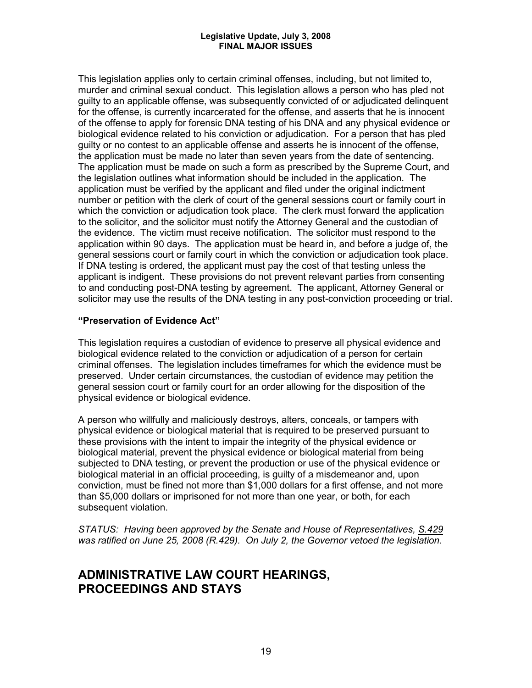This legislation applies only to certain criminal offenses, including, but not limited to, murder and criminal sexual conduct. This legislation allows a person who has pled not guilty to an applicable offense, was subsequently convicted of or adjudicated delinquent for the offense, is currently incarcerated for the offense, and asserts that he is innocent of the offense to apply for forensic DNA testing of his DNA and any physical evidence or biological evidence related to his conviction or adjudication. For a person that has pled guilty or no contest to an applicable offense and asserts he is innocent of the offense, the application must be made no later than seven years from the date of sentencing. The application must be made on such a form as prescribed by the Supreme Court, and the legislation outlines what information should be included in the application. The application must be verified by the applicant and filed under the original indictment number or petition with the clerk of court of the general sessions court or family court in which the conviction or adjudication took place. The clerk must forward the application to the solicitor, and the solicitor must notify the Attorney General and the custodian of the evidence. The victim must receive notification. The solicitor must respond to the application within 90 days. The application must be heard in, and before a judge of, the general sessions court or family court in which the conviction or adjudication took place. If DNA testing is ordered, the applicant must pay the cost of that testing unless the applicant is indigent. These provisions do not prevent relevant parties from consenting to and conducting post-DNA testing by agreement. The applicant, Attorney General or solicitor may use the results of the DNA testing in any post-conviction proceeding or trial.

#### **"Preservation of Evidence Act"**

This legislation requires a custodian of evidence to preserve all physical evidence and biological evidence related to the conviction or adjudication of a person for certain criminal offenses. The legislation includes timeframes for which the evidence must be preserved. Under certain circumstances, the custodian of evidence may petition the general session court or family court for an order allowing for the disposition of the physical evidence or biological evidence.

A person who willfully and maliciously destroys, alters, conceals, or tampers with physical evidence or biological material that is required to be preserved pursuant to these provisions with the intent to impair the integrity of the physical evidence or biological material, prevent the physical evidence or biological material from being subjected to DNA testing, or prevent the production or use of the physical evidence or biological material in an official proceeding, is guilty of a misdemeanor and, upon conviction, must be fined not more than \$1,000 dollars for a first offense, and not more than \$5,000 dollars or imprisoned for not more than one year, or both, for each subsequent violation.

*STATUS: Having been approved by the Senate and House of Representatives, S.429 was ratified on June 25, 2008 (R.429). On July 2, the Governor vetoed the legislation.*

## **ADMINISTRATIVE LAW COURT HEARINGS, PROCEEDINGS AND STAYS**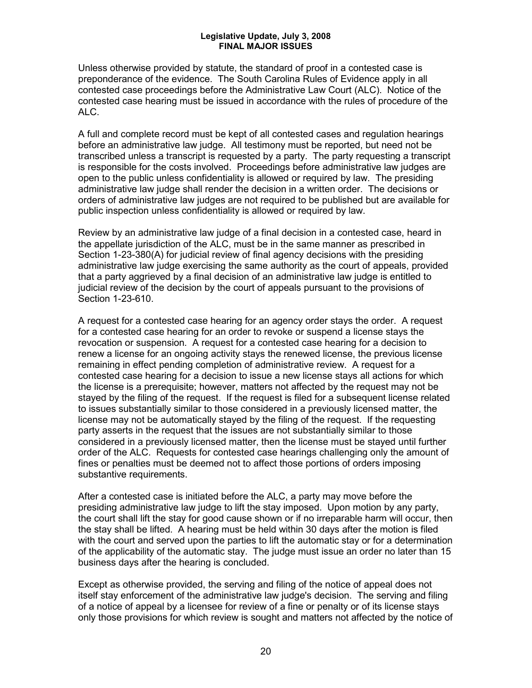Unless otherwise provided by statute, the standard of proof in a contested case is preponderance of the evidence. The South Carolina Rules of Evidence apply in all contested case proceedings before the Administrative Law Court (ALC). Notice of the contested case hearing must be issued in accordance with the rules of procedure of the ALC.

A full and complete record must be kept of all contested cases and regulation hearings before an administrative law judge. All testimony must be reported, but need not be transcribed unless a transcript is requested by a party. The party requesting a transcript is responsible for the costs involved. Proceedings before administrative law judges are open to the public unless confidentiality is allowed or required by law. The presiding administrative law judge shall render the decision in a written order. The decisions or orders of administrative law judges are not required to be published but are available for public inspection unless confidentiality is allowed or required by law.

Review by an administrative law judge of a final decision in a contested case, heard in the appellate jurisdiction of the ALC, must be in the same manner as prescribed in Section 1-23-380(A) for judicial review of final agency decisions with the presiding administrative law judge exercising the same authority as the court of appeals, provided that a party aggrieved by a final decision of an administrative law judge is entitled to judicial review of the decision by the court of appeals pursuant to the provisions of Section 1-23-610.

A request for a contested case hearing for an agency order stays the order. A request for a contested case hearing for an order to revoke or suspend a license stays the revocation or suspension. A request for a contested case hearing for a decision to renew a license for an ongoing activity stays the renewed license, the previous license remaining in effect pending completion of administrative review. A request for a contested case hearing for a decision to issue a new license stays all actions for which the license is a prerequisite; however, matters not affected by the request may not be stayed by the filing of the request. If the request is filed for a subsequent license related to issues substantially similar to those considered in a previously licensed matter, the license may not be automatically stayed by the filing of the request. If the requesting party asserts in the request that the issues are not substantially similar to those considered in a previously licensed matter, then the license must be stayed until further order of the ALC. Requests for contested case hearings challenging only the amount of fines or penalties must be deemed not to affect those portions of orders imposing substantive requirements.

After a contested case is initiated before the ALC, a party may move before the presiding administrative law judge to lift the stay imposed. Upon motion by any party, the court shall lift the stay for good cause shown or if no irreparable harm will occur, then the stay shall be lifted. A hearing must be held within 30 days after the motion is filed with the court and served upon the parties to lift the automatic stay or for a determination of the applicability of the automatic stay. The judge must issue an order no later than 15 business days after the hearing is concluded.

Except as otherwise provided, the serving and filing of the notice of appeal does not itself stay enforcement of the administrative law judge's decision. The serving and filing of a notice of appeal by a licensee for review of a fine or penalty or of its license stays only those provisions for which review is sought and matters not affected by the notice of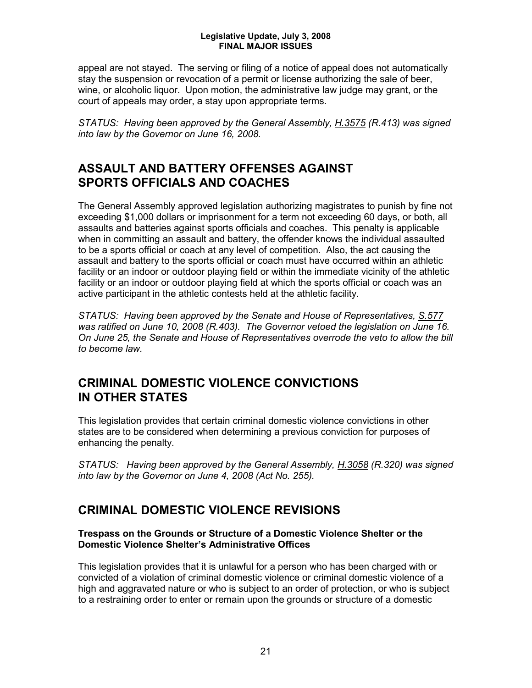appeal are not stayed. The serving or filing of a notice of appeal does not automatically stay the suspension or revocation of a permit or license authorizing the sale of beer, wine, or alcoholic liquor. Upon motion, the administrative law judge may grant, or the court of appeals may order, a stay upon appropriate terms.

*STATUS: Having been approved by the General Assembly, H.3575 (R.413) was signed into law by the Governor on June 16, 2008.*

## **ASSAULT AND BATTERY OFFENSES AGAINST SPORTS OFFICIALS AND COACHES**

The General Assembly approved legislation authorizing magistrates to punish by fine not exceeding \$1,000 dollars or imprisonment for a term not exceeding 60 days, or both, all assaults and batteries against sports officials and coaches. This penalty is applicable when in committing an assault and battery, the offender knows the individual assaulted to be a sports official or coach at any level of competition. Also, the act causing the assault and battery to the sports official or coach must have occurred within an athletic facility or an indoor or outdoor playing field or within the immediate vicinity of the athletic facility or an indoor or outdoor playing field at which the sports official or coach was an active participant in the athletic contests held at the athletic facility.

*STATUS: Having been approved by the Senate and House of Representatives, S.577 was ratified on June 10, 2008 (R.403). The Governor vetoed the legislation on June 16. On June 25, the Senate and House of Representatives overrode the veto to allow the bill to become law.*

## **CRIMINAL DOMESTIC VIOLENCE CONVICTIONS IN OTHER STATES**

This legislation provides that certain criminal domestic violence convictions in other states are to be considered when determining a previous conviction for purposes of enhancing the penalty.

*STATUS: Having been approved by the General Assembly, H.3058 (R.320) was signed into law by the Governor on June 4, 2008 (Act No. 255).*

## **CRIMINAL DOMESTIC VIOLENCE REVISIONS**

#### **Trespass on the Grounds or Structure of a Domestic Violence Shelter or the Domestic Violence Shelter's Administrative Offices**

This legislation provides that it is unlawful for a person who has been charged with or convicted of a violation of criminal domestic violence or criminal domestic violence of a high and aggravated nature or who is subject to an order of protection, or who is subject to a restraining order to enter or remain upon the grounds or structure of a domestic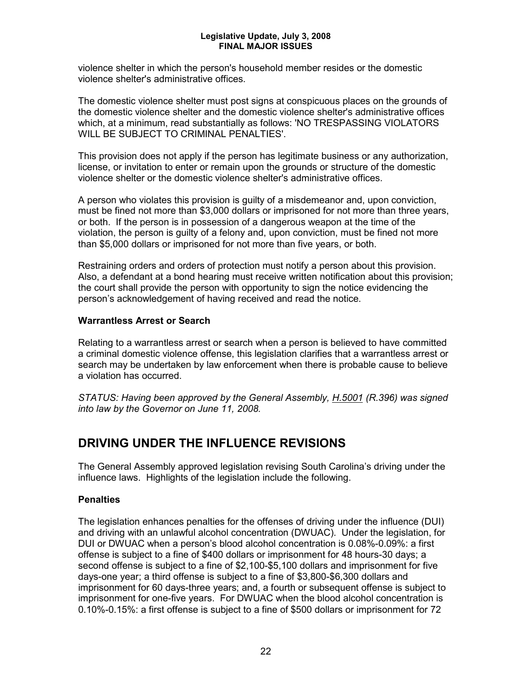violence shelter in which the person's household member resides or the domestic violence shelter's administrative offices.

The domestic violence shelter must post signs at conspicuous places on the grounds of the domestic violence shelter and the domestic violence shelter's administrative offices which, at a minimum, read substantially as follows: 'NO TRESPASSING VIOLATORS WILL BE SUBJECT TO CRIMINAL PENALTIES'.

This provision does not apply if the person has legitimate business or any authorization, license, or invitation to enter or remain upon the grounds or structure of the domestic violence shelter or the domestic violence shelter's administrative offices.

A person who violates this provision is guilty of a misdemeanor and, upon conviction, must be fined not more than \$3,000 dollars or imprisoned for not more than three years, or both. If the person is in possession of a dangerous weapon at the time of the violation, the person is guilty of a felony and, upon conviction, must be fined not more than \$5,000 dollars or imprisoned for not more than five years, or both.

Restraining orders and orders of protection must notify a person about this provision. Also, a defendant at a bond hearing must receive written notification about this provision; the court shall provide the person with opportunity to sign the notice evidencing the person's acknowledgement of having received and read the notice.

#### **Warrantless Arrest or Search**

Relating to a warrantless arrest or search when a person is believed to have committed a criminal domestic violence offense, this legislation clarifies that a warrantless arrest or search may be undertaken by law enforcement when there is probable cause to believe a violation has occurred.

*STATUS: Having been approved by the General Assembly, H.5001 (R.396) was signed into law by the Governor on June 11, 2008.*

## **DRIVING UNDER THE INFLUENCE REVISIONS**

The General Assembly approved legislation revising South Carolina's driving under the influence laws. Highlights of the legislation include the following.

### **Penalties**

The legislation enhances penalties for the offenses of driving under the influence (DUI) and driving with an unlawful alcohol concentration (DWUAC). Under the legislation, for DUI or DWUAC when a person's blood alcohol concentration is 0.08%-0.09%: a first offense is subject to a fine of \$400 dollars or imprisonment for 48 hours-30 days; a second offense is subject to a fine of \$2,100-\$5,100 dollars and imprisonment for five days-one year; a third offense is subject to a fine of \$3,800-\$6,300 dollars and imprisonment for 60 days-three years; and, a fourth or subsequent offense is subject to imprisonment for one-five years. For DWUAC when the blood alcohol concentration is 0.10%-0.15%: a first offense is subject to a fine of \$500 dollars or imprisonment for 72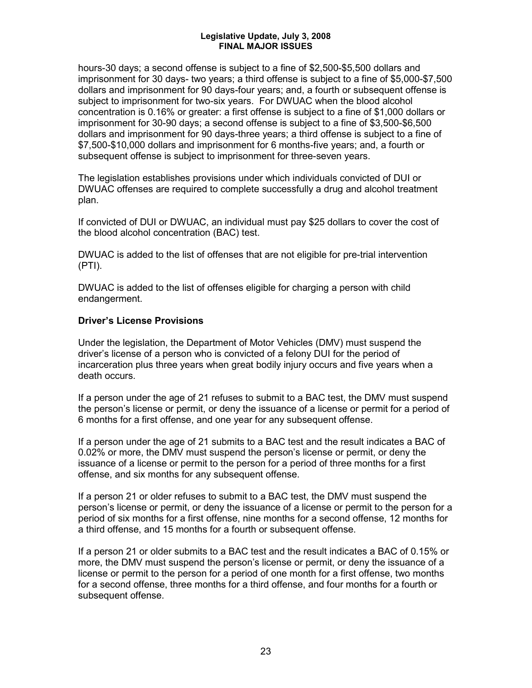hours-30 days; a second offense is subject to a fine of \$2,500-\$5,500 dollars and imprisonment for 30 days- two years; a third offense is subject to a fine of \$5,000-\$7,500 dollars and imprisonment for 90 days-four years; and, a fourth or subsequent offense is subject to imprisonment for two-six years. For DWUAC when the blood alcohol concentration is 0.16% or greater: a first offense is subject to a fine of \$1,000 dollars or imprisonment for 30-90 days; a second offense is subject to a fine of \$3,500-\$6,500 dollars and imprisonment for 90 days-three years; a third offense is subject to a fine of \$7,500-\$10,000 dollars and imprisonment for 6 months-five years; and, a fourth or subsequent offense is subject to imprisonment for three-seven years.

The legislation establishes provisions under which individuals convicted of DUI or DWUAC offenses are required to complete successfully a drug and alcohol treatment plan.

If convicted of DUI or DWUAC, an individual must pay \$25 dollars to cover the cost of the blood alcohol concentration (BAC) test.

DWUAC is added to the list of offenses that are not eligible for pre-trial intervention (PTI).

DWUAC is added to the list of offenses eligible for charging a person with child endangerment.

#### **Driver's License Provisions**

Under the legislation, the Department of Motor Vehicles (DMV) must suspend the driver's license of a person who is convicted of a felony DUI for the period of incarceration plus three years when great bodily injury occurs and five years when a death occurs.

If a person under the age of 21 refuses to submit to a BAC test, the DMV must suspend the person's license or permit, or deny the issuance of a license or permit for a period of 6 months for a first offense, and one year for any subsequent offense.

If a person under the age of 21 submits to a BAC test and the result indicates a BAC of 0.02% or more, the DMV must suspend the person's license or permit, or deny the issuance of a license or permit to the person for a period of three months for a first offense, and six months for any subsequent offense.

If a person 21 or older refuses to submit to a BAC test, the DMV must suspend the person's license or permit, or deny the issuance of a license or permit to the person for a period of six months for a first offense, nine months for a second offense, 12 months for a third offense, and 15 months for a fourth or subsequent offense.

If a person 21 or older submits to a BAC test and the result indicates a BAC of 0.15% or more, the DMV must suspend the person's license or permit, or deny the issuance of a license or permit to the person for a period of one month for a first offense, two months for a second offense, three months for a third offense, and four months for a fourth or subsequent offense.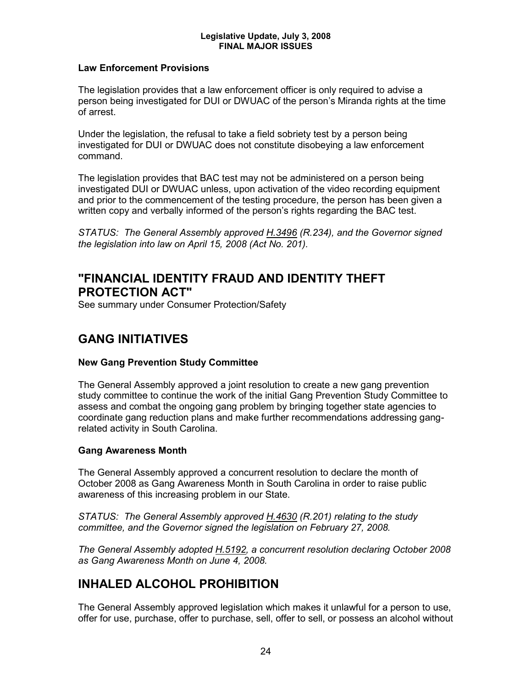#### **Law Enforcement Provisions**

The legislation provides that a law enforcement officer is only required to advise a person being investigated for DUI or DWUAC of the person's Miranda rights at the time of arrest.

Under the legislation, the refusal to take a field sobriety test by a person being investigated for DUI or DWUAC does not constitute disobeying a law enforcement command.

The legislation provides that BAC test may not be administered on a person being investigated DUI or DWUAC unless, upon activation of the video recording equipment and prior to the commencement of the testing procedure, the person has been given a written copy and verbally informed of the person's rights regarding the BAC test.

*STATUS: The General Assembly approved H.3496 (R.234), and the Governor signed the legislation into law on April 15, 2008 (Act No. 201).*

## **"FINANCIAL IDENTITY FRAUD AND IDENTITY THEFT PROTECTION ACT"**

See summary under Consumer Protection/Safety

## **GANG INITIATIVES**

#### **New Gang Prevention Study Committee**

The General Assembly approved a joint resolution to create a new gang prevention study committee to continue the work of the initial Gang Prevention Study Committee to assess and combat the ongoing gang problem by bringing together state agencies to coordinate gang reduction plans and make further recommendations addressing gangrelated activity in South Carolina.

#### **Gang Awareness Month**

The General Assembly approved a concurrent resolution to declare the month of October 2008 as Gang Awareness Month in South Carolina in order to raise public awareness of this increasing problem in our State.

*STATUS: The General Assembly approved H.4630 (R.201) relating to the study committee, and the Governor signed the legislation on February 27, 2008.*

*The General Assembly adopted H.5192, a concurrent resolution declaring October 2008 as Gang Awareness Month on June 4, 2008.*

## **INHALED ALCOHOL PROHIBITION**

The General Assembly approved legislation which makes it unlawful for a person to use, offer for use, purchase, offer to purchase, sell, offer to sell, or possess an alcohol without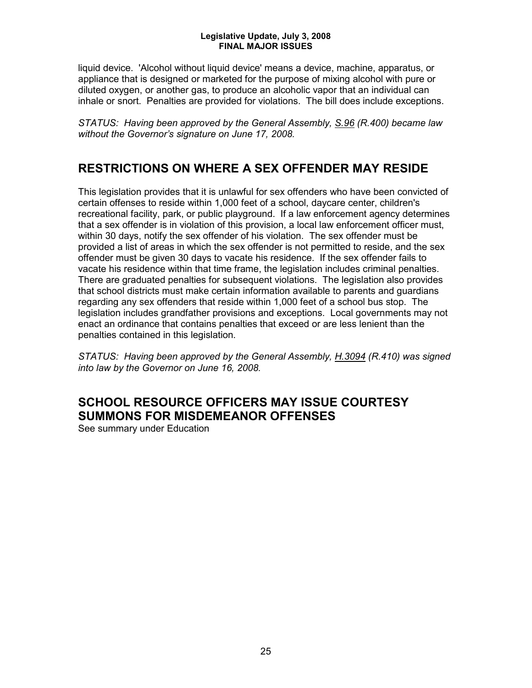liquid device. 'Alcohol without liquid device' means a device, machine, apparatus, or appliance that is designed or marketed for the purpose of mixing alcohol with pure or diluted oxygen, or another gas, to produce an alcoholic vapor that an individual can inhale or snort. Penalties are provided for violations. The bill does include exceptions.

*STATUS: Having been approved by the General Assembly, S.96 (R.400) became law without the Governor's signature on June 17, 2008.*

## **RESTRICTIONS ON WHERE A SEX OFFENDER MAY RESIDE**

This legislation provides that it is unlawful for sex offenders who have been convicted of certain offenses to reside within 1,000 feet of a school, daycare center, children's recreational facility, park, or public playground. If a law enforcement agency determines that a sex offender is in violation of this provision, a local law enforcement officer must, within 30 days, notify the sex offender of his violation. The sex offender must be provided a list of areas in which the sex offender is not permitted to reside, and the sex offender must be given 30 days to vacate his residence. If the sex offender fails to vacate his residence within that time frame, the legislation includes criminal penalties. There are graduated penalties for subsequent violations. The legislation also provides that school districts must make certain information available to parents and guardians regarding any sex offenders that reside within 1,000 feet of a school bus stop. The legislation includes grandfather provisions and exceptions. Local governments may not enact an ordinance that contains penalties that exceed or are less lenient than the penalties contained in this legislation.

*STATUS: Having been approved by the General Assembly, H.3094 (R.410) was signed into law by the Governor on June 16, 2008.*

## **SCHOOL RESOURCE OFFICERS MAY ISSUE COURTESY SUMMONS FOR MISDEMEANOR OFFENSES**

See summary under Education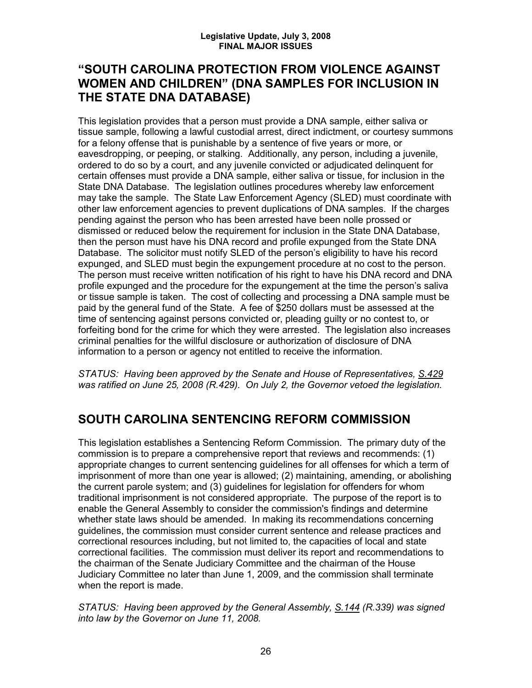## **"SOUTH CAROLINA PROTECTION FROM VIOLENCE AGAINST WOMEN AND CHILDREN" (DNA SAMPLES FOR INCLUSION IN THE STATE DNA DATABASE)**

This legislation provides that a person must provide a DNA sample, either saliva or tissue sample, following a lawful custodial arrest, direct indictment, or courtesy summons for a felony offense that is punishable by a sentence of five years or more, or eavesdropping, or peeping, or stalking. Additionally, any person, including a juvenile, ordered to do so by a court, and any juvenile convicted or adjudicated delinquent for certain offenses must provide a DNA sample, either saliva or tissue, for inclusion in the State DNA Database. The legislation outlines procedures whereby law enforcement may take the sample. The State Law Enforcement Agency (SLED) must coordinate with other law enforcement agencies to prevent duplications of DNA samples. If the charges pending against the person who has been arrested have been nolle prossed or dismissed or reduced below the requirement for inclusion in the State DNA Database, then the person must have his DNA record and profile expunged from the State DNA Database. The solicitor must notify SLED of the person's eligibility to have his record expunged, and SLED must begin the expungement procedure at no cost to the person. The person must receive written notification of his right to have his DNA record and DNA profile expunged and the procedure for the expungement at the time the person's saliva or tissue sample is taken. The cost of collecting and processing a DNA sample must be paid by the general fund of the State. A fee of \$250 dollars must be assessed at the time of sentencing against persons convicted or, pleading guilty or no contest to, or forfeiting bond for the crime for which they were arrested. The legislation also increases criminal penalties for the willful disclosure or authorization of disclosure of DNA information to a person or agency not entitled to receive the information.

*STATUS: Having been approved by the Senate and House of Representatives, S.429 was ratified on June 25, 2008 (R.429). On July 2, the Governor vetoed the legislation.* 

## **SOUTH CAROLINA SENTENCING REFORM COMMISSION**

This legislation establishes a Sentencing Reform Commission. The primary duty of the commission is to prepare a comprehensive report that reviews and recommends: (1) appropriate changes to current sentencing guidelines for all offenses for which a term of imprisonment of more than one year is allowed; (2) maintaining, amending, or abolishing the current parole system; and (3) guidelines for legislation for offenders for whom traditional imprisonment is not considered appropriate. The purpose of the report is to enable the General Assembly to consider the commission's findings and determine whether state laws should be amended. In making its recommendations concerning guidelines, the commission must consider current sentence and release practices and correctional resources including, but not limited to, the capacities of local and state correctional facilities. The commission must deliver its report and recommendations to the chairman of the Senate Judiciary Committee and the chairman of the House Judiciary Committee no later than June 1, 2009, and the commission shall terminate when the report is made.

*STATUS: Having been approved by the General Assembly, S.144 (R.339) was signed into law by the Governor on June 11, 2008.*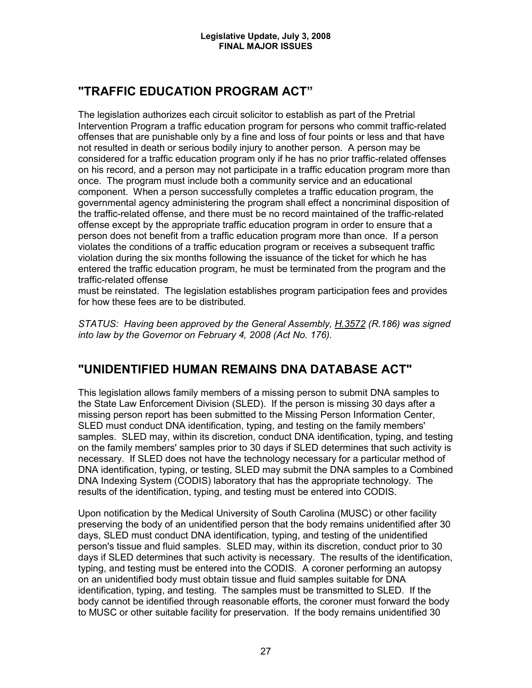## **"TRAFFIC EDUCATION PROGRAM ACT"**

The legislation authorizes each circuit solicitor to establish as part of the Pretrial Intervention Program a traffic education program for persons who commit traffic-related offenses that are punishable only by a fine and loss of four points or less and that have not resulted in death or serious bodily injury to another person. A person may be considered for a traffic education program only if he has no prior traffic-related offenses on his record, and a person may not participate in a traffic education program more than once. The program must include both a community service and an educational component. When a person successfully completes a traffic education program, the governmental agency administering the program shall effect a noncriminal disposition of the traffic-related offense, and there must be no record maintained of the traffic-related offense except by the appropriate traffic education program in order to ensure that a person does not benefit from a traffic education program more than once. If a person violates the conditions of a traffic education program or receives a subsequent traffic violation during the six months following the issuance of the ticket for which he has entered the traffic education program, he must be terminated from the program and the traffic-related offense

must be reinstated. The legislation establishes program participation fees and provides for how these fees are to be distributed.

*STATUS: Having been approved by the General Assembly, H.3572 (R.186) was signed into law by the Governor on February 4, 2008 (Act No. 176).*

## **"UNIDENTIFIED HUMAN REMAINS DNA DATABASE ACT"**

This legislation allows family members of a missing person to submit DNA samples to the State Law Enforcement Division (SLED). If the person is missing 30 days after a missing person report has been submitted to the Missing Person Information Center, SLED must conduct DNA identification, typing, and testing on the family members' samples. SLED may, within its discretion, conduct DNA identification, typing, and testing on the family members' samples prior to 30 days if SLED determines that such activity is necessary. If SLED does not have the technology necessary for a particular method of DNA identification, typing, or testing, SLED may submit the DNA samples to a Combined DNA Indexing System (CODIS) laboratory that has the appropriate technology. The results of the identification, typing, and testing must be entered into CODIS.

Upon notification by the Medical University of South Carolina (MUSC) or other facility preserving the body of an unidentified person that the body remains unidentified after 30 days, SLED must conduct DNA identification, typing, and testing of the unidentified person's tissue and fluid samples. SLED may, within its discretion, conduct prior to 30 days if SLED determines that such activity is necessary. The results of the identification, typing, and testing must be entered into the CODIS. A coroner performing an autopsy on an unidentified body must obtain tissue and fluid samples suitable for DNA identification, typing, and testing. The samples must be transmitted to SLED. If the body cannot be identified through reasonable efforts, the coroner must forward the body to MUSC or other suitable facility for preservation. If the body remains unidentified 30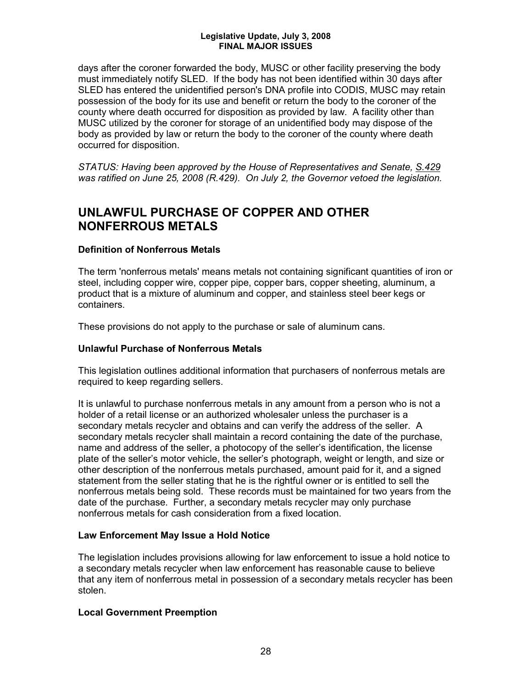days after the coroner forwarded the body, MUSC or other facility preserving the body must immediately notify SLED. If the body has not been identified within 30 days after SLED has entered the unidentified person's DNA profile into CODIS, MUSC may retain possession of the body for its use and benefit or return the body to the coroner of the county where death occurred for disposition as provided by law. A facility other than MUSC utilized by the coroner for storage of an unidentified body may dispose of the body as provided by law or return the body to the coroner of the county where death occurred for disposition.

*STATUS: Having been approved by the House of Representatives and Senate, S.429 was ratified on June 25, 2008 (R.429). On July 2, the Governor vetoed the legislation.* 

## **UNLAWFUL PURCHASE OF COPPER AND OTHER NONFERROUS METALS**

### **Definition of Nonferrous Metals**

The term 'nonferrous metals' means metals not containing significant quantities of iron or steel, including copper wire, copper pipe, copper bars, copper sheeting, aluminum, a product that is a mixture of aluminum and copper, and stainless steel beer kegs or containers.

These provisions do not apply to the purchase or sale of aluminum cans.

### **Unlawful Purchase of Nonferrous Metals**

This legislation outlines additional information that purchasers of nonferrous metals are required to keep regarding sellers.

It is unlawful to purchase nonferrous metals in any amount from a person who is not a holder of a retail license or an authorized wholesaler unless the purchaser is a secondary metals recycler and obtains and can verify the address of the seller. A secondary metals recycler shall maintain a record containing the date of the purchase, name and address of the seller, a photocopy of the seller's identification, the license plate of the seller's motor vehicle, the seller's photograph, weight or length, and size or other description of the nonferrous metals purchased, amount paid for it, and a signed statement from the seller stating that he is the rightful owner or is entitled to sell the nonferrous metals being sold. These records must be maintained for two years from the date of the purchase. Further, a secondary metals recycler may only purchase nonferrous metals for cash consideration from a fixed location.

### **Law Enforcement May Issue a Hold Notice**

The legislation includes provisions allowing for law enforcement to issue a hold notice to a secondary metals recycler when law enforcement has reasonable cause to believe that any item of nonferrous metal in possession of a secondary metals recycler has been stolen.

### **Local Government Preemption**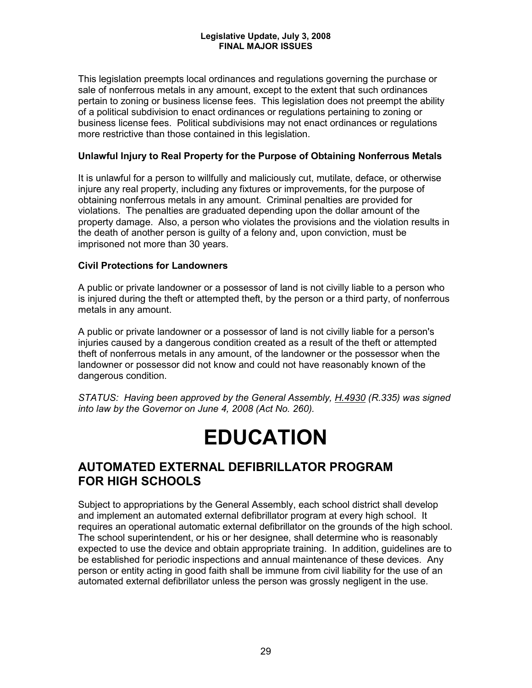This legislation preempts local ordinances and regulations governing the purchase or sale of nonferrous metals in any amount, except to the extent that such ordinances pertain to zoning or business license fees. This legislation does not preempt the ability of a political subdivision to enact ordinances or regulations pertaining to zoning or business license fees. Political subdivisions may not enact ordinances or regulations more restrictive than those contained in this legislation.

#### **Unlawful Injury to Real Property for the Purpose of Obtaining Nonferrous Metals**

It is unlawful for a person to willfully and maliciously cut, mutilate, deface, or otherwise injure any real property, including any fixtures or improvements, for the purpose of obtaining nonferrous metals in any amount. Criminal penalties are provided for violations. The penalties are graduated depending upon the dollar amount of the property damage. Also, a person who violates the provisions and the violation results in the death of another person is guilty of a felony and, upon conviction, must be imprisoned not more than 30 years.

#### **Civil Protections for Landowners**

A public or private landowner or a possessor of land is not civilly liable to a person who is injured during the theft or attempted theft, by the person or a third party, of nonferrous metals in any amount.

A public or private landowner or a possessor of land is not civilly liable for a person's injuries caused by a dangerous condition created as a result of the theft or attempted theft of nonferrous metals in any amount, of the landowner or the possessor when the landowner or possessor did not know and could not have reasonably known of the dangerous condition.

*STATUS: Having been approved by the General Assembly, H.4930 (R.335) was signed into law by the Governor on June 4, 2008 (Act No. 260).*

## **EDUCATION**

## **AUTOMATED EXTERNAL DEFIBRILLATOR PROGRAM FOR HIGH SCHOOLS**

Subject to appropriations by the General Assembly, each school district shall develop and implement an automated external defibrillator program at every high school. It requires an operational automatic external defibrillator on the grounds of the high school. The school superintendent, or his or her designee, shall determine who is reasonably expected to use the device and obtain appropriate training. In addition, guidelines are to be established for periodic inspections and annual maintenance of these devices. Any person or entity acting in good faith shall be immune from civil liability for the use of an automated external defibrillator unless the person was grossly negligent in the use.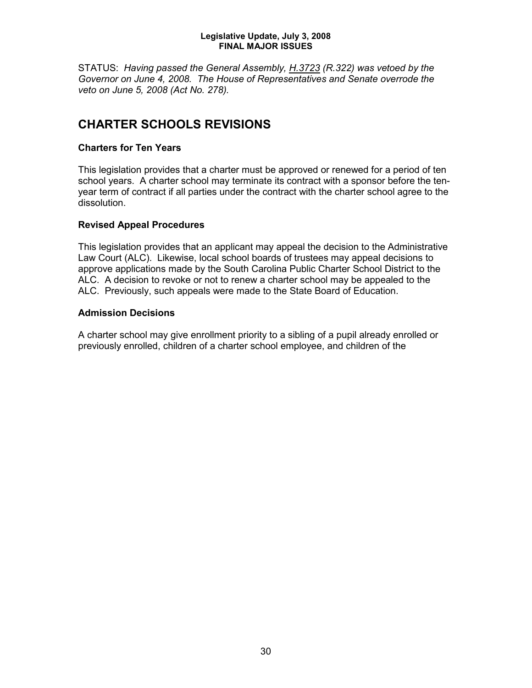STATUS: *Having passed the General Assembly, H.3723 (R.322) was vetoed by the Governor on June 4, 2008. The House of Representatives and Senate overrode the veto on June 5, 2008 (Act No. 278).*

## **CHARTER SCHOOLS REVISIONS**

#### **Charters for Ten Years**

This legislation provides that a charter must be approved or renewed for a period of ten school years. A charter school may terminate its contract with a sponsor before the tenyear term of contract if all parties under the contract with the charter school agree to the dissolution.

#### **Revised Appeal Procedures**

This legislation provides that an applicant may appeal the decision to the Administrative Law Court (ALC). Likewise, local school boards of trustees may appeal decisions to approve applications made by the South Carolina Public Charter School District to the ALC. A decision to revoke or not to renew a charter school may be appealed to the ALC. Previously, such appeals were made to the State Board of Education.

#### **Admission Decisions**

A charter school may give enrollment priority to a sibling of a pupil already enrolled or previously enrolled, children of a charter school employee, and children of the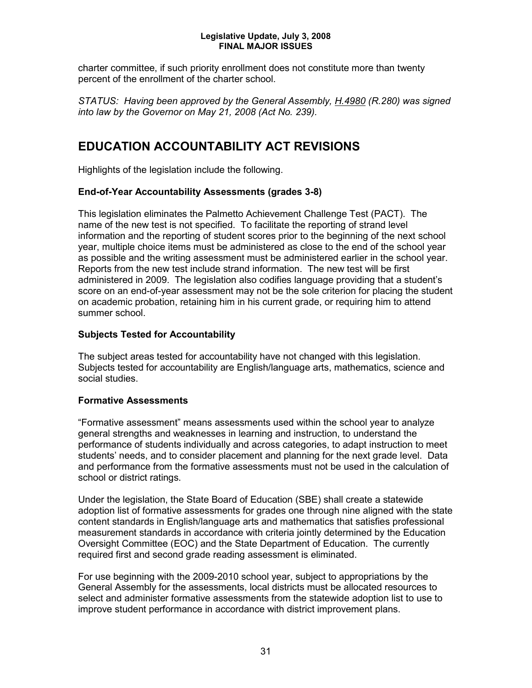charter committee, if such priority enrollment does not constitute more than twenty percent of the enrollment of the charter school.

*STATUS: Having been approved by the General Assembly, H.4980 (R.280) was signed into law by the Governor on May 21, 2008 (Act No. 239).*

## **EDUCATION ACCOUNTABILITY ACT REVISIONS**

Highlights of the legislation include the following.

#### **End-of-Year Accountability Assessments (grades 3-8)**

This legislation eliminates the Palmetto Achievement Challenge Test (PACT). The name of the new test is not specified. To facilitate the reporting of strand level information and the reporting of student scores prior to the beginning of the next school year, multiple choice items must be administered as close to the end of the school year as possible and the writing assessment must be administered earlier in the school year. Reports from the new test include strand information. The new test will be first administered in 2009. The legislation also codifies language providing that a student's score on an end-of-year assessment may not be the sole criterion for placing the student on academic probation, retaining him in his current grade, or requiring him to attend summer school.

#### **Subjects Tested for Accountability**

The subject areas tested for accountability have not changed with this legislation. Subjects tested for accountability are English/language arts, mathematics, science and social studies.

#### **Formative Assessments**

"Formative assessment" means assessments used within the school year to analyze general strengths and weaknesses in learning and instruction, to understand the performance of students individually and across categories, to adapt instruction to meet students' needs, and to consider placement and planning for the next grade level. Data and performance from the formative assessments must not be used in the calculation of school or district ratings.

Under the legislation, the State Board of Education (SBE) shall create a statewide adoption list of formative assessments for grades one through nine aligned with the state content standards in English/language arts and mathematics that satisfies professional measurement standards in accordance with criteria jointly determined by the Education Oversight Committee (EOC) and the State Department of Education. The currently required first and second grade reading assessment is eliminated.

For use beginning with the 2009-2010 school year, subject to appropriations by the General Assembly for the assessments, local districts must be allocated resources to select and administer formative assessments from the statewide adoption list to use to improve student performance in accordance with district improvement plans.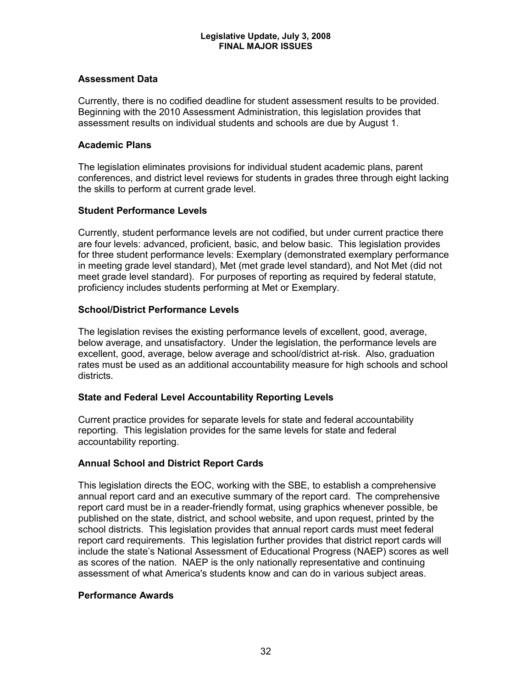#### **Assessment Data**

Currently, there is no codified deadline for student assessment results to be provided. Beginning with the 2010 Assessment Administration, this legislation provides that assessment results on individual students and schools are due by August 1.

#### **Academic Plans**

The legislation eliminates provisions for individual student academic plans, parent conferences, and district level reviews for students in grades three through eight lacking the skills to perform at current grade level.

### **Student Performance Levels**

Currently, student performance levels are not codified, but under current practice there are four levels: advanced, proficient, basic, and below basic. This legislation provides for three student performance levels: Exemplary (demonstrated exemplary performance in meeting grade level standard), Met (met grade level standard), and Not Met (did not meet grade level standard). For purposes of reporting as required by federal statute, proficiency includes students performing at Met or Exemplary.

#### **School/District Performance Levels**

The legislation revises the existing performance levels of excellent, good, average, below average, and unsatisfactory. Under the legislation, the performance levels are excellent, good, average, below average and school/district at-risk. Also, graduation rates must be used as an additional accountability measure for high schools and school districts.

### **State and Federal Level Accountability Reporting Levels**

Current practice provides for separate levels for state and federal accountability reporting. This legislation provides for the same levels for state and federal accountability reporting.

### **Annual School and District Report Cards**

This legislation directs the EOC, working with the SBE, to establish a comprehensive annual report card and an executive summary of the report card. The comprehensive report card must be in a reader-friendly format, using graphics whenever possible, be published on the state, district, and school website, and upon request, printed by the school districts. This legislation provides that annual report cards must meet federal report card requirements. This legislation further provides that district report cards will include the state's National Assessment of Educational Progress (NAEP) scores as well as scores of the nation. NAEP is the only nationally representative and continuing assessment of what America's students know and can do in various subject areas.

### **Performance Awards**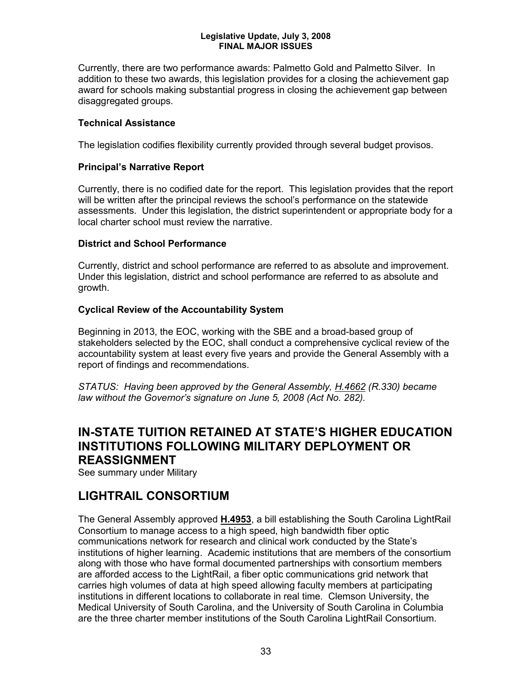Currently, there are two performance awards: Palmetto Gold and Palmetto Silver. In addition to these two awards, this legislation provides for a closing the achievement gap award for schools making substantial progress in closing the achievement gap between disaggregated groups.

#### **Technical Assistance**

The legislation codifies flexibility currently provided through several budget provisos.

#### **Principal's Narrative Report**

Currently, there is no codified date for the report. This legislation provides that the report will be written after the principal reviews the school's performance on the statewide assessments. Under this legislation, the district superintendent or appropriate body for a local charter school must review the narrative.

#### **District and School Performance**

Currently, district and school performance are referred to as absolute and improvement. Under this legislation, district and school performance are referred to as absolute and growth.

#### **Cyclical Review of the Accountability System**

Beginning in 2013, the EOC, working with the SBE and a broad-based group of stakeholders selected by the EOC, shall conduct a comprehensive cyclical review of the accountability system at least every five years and provide the General Assembly with a report of findings and recommendations.

*STATUS: Having been approved by the General Assembly, H.4662 (R.330) became law without the Governor's signature on June 5, 2008 (Act No. 282).*

## **IN-STATE TUITION RETAINED AT STATE'S HIGHER EDUCATION INSTITUTIONS FOLLOWING MILITARY DEPLOYMENT OR REASSIGNMENT**

See summary under Military

## **LIGHTRAIL CONSORTIUM**

The General Assembly approved **H.4953**, a bill establishing the South Carolina LightRail Consortium to manage access to a high speed, high bandwidth fiber optic communications network for research and clinical work conducted by the State's institutions of higher learning. Academic institutions that are members of the consortium along with those who have formal documented partnerships with consortium members are afforded access to the LightRail, a fiber optic communications grid network that carries high volumes of data at high speed allowing faculty members at participating institutions in different locations to collaborate in real time. Clemson University, the Medical University of South Carolina, and the University of South Carolina in Columbia are the three charter member institutions of the South Carolina LightRail Consortium.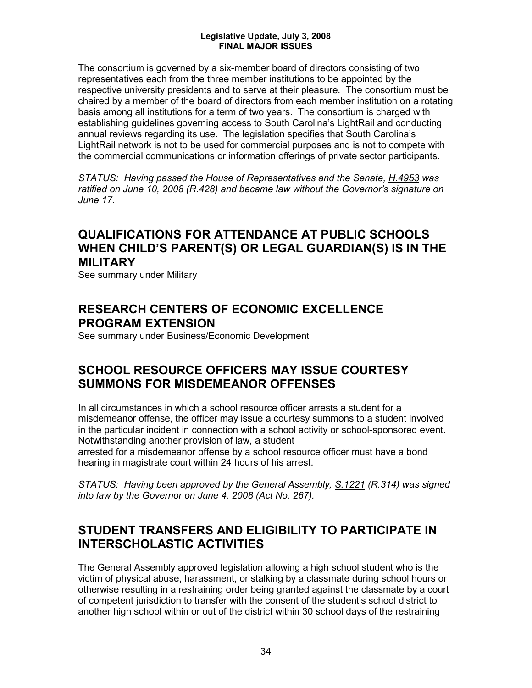The consortium is governed by a six-member board of directors consisting of two representatives each from the three member institutions to be appointed by the respective university presidents and to serve at their pleasure. The consortium must be chaired by a member of the board of directors from each member institution on a rotating basis among all institutions for a term of two years. The consortium is charged with establishing guidelines governing access to South Carolina's LightRail and conducting annual reviews regarding its use. The legislation specifies that South Carolina's LightRail network is not to be used for commercial purposes and is not to compete with the commercial communications or information offerings of private sector participants.

*STATUS: Having passed the House of Representatives and the Senate, H.4953 was ratified on June 10, 2008 (R.428) and became law without the Governor's signature on June 17.*

## **QUALIFICATIONS FOR ATTENDANCE AT PUBLIC SCHOOLS WHEN CHILD'S PARENT(S) OR LEGAL GUARDIAN(S) IS IN THE MILITARY**

See summary under Military

## **RESEARCH CENTERS OF ECONOMIC EXCELLENCE PROGRAM EXTENSION**

See summary under Business/Economic Development

## **SCHOOL RESOURCE OFFICERS MAY ISSUE COURTESY SUMMONS FOR MISDEMEANOR OFFENSES**

In all circumstances in which a school resource officer arrests a student for a misdemeanor offense, the officer may issue a courtesy summons to a student involved in the particular incident in connection with a school activity or school-sponsored event. Notwithstanding another provision of law, a student

arrested for a misdemeanor offense by a school resource officer must have a bond hearing in magistrate court within 24 hours of his arrest.

*STATUS: Having been approved by the General Assembly, S.1221 (R.314) was signed into law by the Governor on June 4, 2008 (Act No. 267).*

## **STUDENT TRANSFERS AND ELIGIBILITY TO PARTICIPATE IN INTERSCHOLASTIC ACTIVITIES**

The General Assembly approved legislation allowing a high school student who is the victim of physical abuse, harassment, or stalking by a classmate during school hours or otherwise resulting in a restraining order being granted against the classmate by a court of competent jurisdiction to transfer with the consent of the student's school district to another high school within or out of the district within 30 school days of the restraining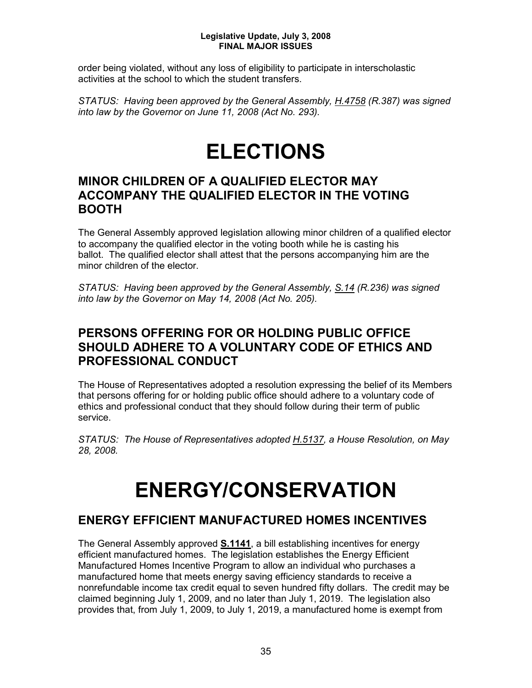order being violated, without any loss of eligibility to participate in interscholastic activities at the school to which the student transfers.

*STATUS: Having been approved by the General Assembly, H.4758 (R.387) was signed into law by the Governor on June 11, 2008 (Act No. 293).*

## **ELECTIONS**

## **MINOR CHILDREN OF A QUALIFIED ELECTOR MAY ACCOMPANY THE QUALIFIED ELECTOR IN THE VOTING BOOTH**

The General Assembly approved legislation allowing minor children of a qualified elector to accompany the qualified elector in the voting booth while he is casting his ballot. The qualified elector shall attest that the persons accompanying him are the minor children of the elector.

*STATUS: Having been approved by the General Assembly, S.14 (R.236) was signed into law by the Governor on May 14, 2008 (Act No. 205).* 

## **PERSONS OFFERING FOR OR HOLDING PUBLIC OFFICE SHOULD ADHERE TO A VOLUNTARY CODE OF ETHICS AND PROFESSIONAL CONDUCT**

The House of Representatives adopted a resolution expressing the belief of its Members that persons offering for or holding public office should adhere to a voluntary code of ethics and professional conduct that they should follow during their term of public service.

*STATUS: The House of Representatives adopted H.5137, a House Resolution, on May 28, 2008.*

## **ENERGY/CONSERVATION**

## **ENERGY EFFICIENT MANUFACTURED HOMES INCENTIVES**

The General Assembly approved **S.1141**, a bill establishing incentives for energy efficient manufactured homes. The legislation establishes the Energy Efficient Manufactured Homes Incentive Program to allow an individual who purchases a manufactured home that meets energy saving efficiency standards to receive a nonrefundable income tax credit equal to seven hundred fifty dollars. The credit may be claimed beginning July 1, 2009, and no later than July 1, 2019. The legislation also provides that, from July 1, 2009, to July 1, 2019, a manufactured home is exempt from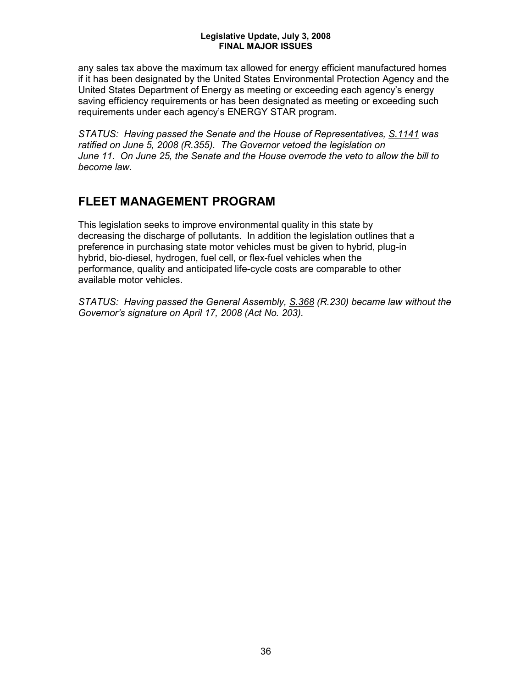any sales tax above the maximum tax allowed for energy efficient manufactured homes if it has been designated by the United States Environmental Protection Agency and the United States Department of Energy as meeting or exceeding each agency's energy saving efficiency requirements or has been designated as meeting or exceeding such requirements under each agency's ENERGY STAR program.

*STATUS: Having passed the Senate and the House of Representatives, S.1141 was ratified on June 5, 2008 (R.355). The Governor vetoed the legislation on June 11. On June 25, the Senate and the House overrode the veto to allow the bill to become law.*

## **FLEET MANAGEMENT PROGRAM**

This legislation seeks to improve environmental quality in this state by decreasing the discharge of pollutants. In addition the legislation outlines that a preference in purchasing state motor vehicles must be given to hybrid, plug-in hybrid, bio-diesel, hydrogen, fuel cell, or flex-fuel vehicles when the performance, quality and anticipated life-cycle costs are comparable to other available motor vehicles.

*STATUS: Having passed the General Assembly, S.368 (R.230) became law without the Governor's signature on April 17, 2008 (Act No. 203).*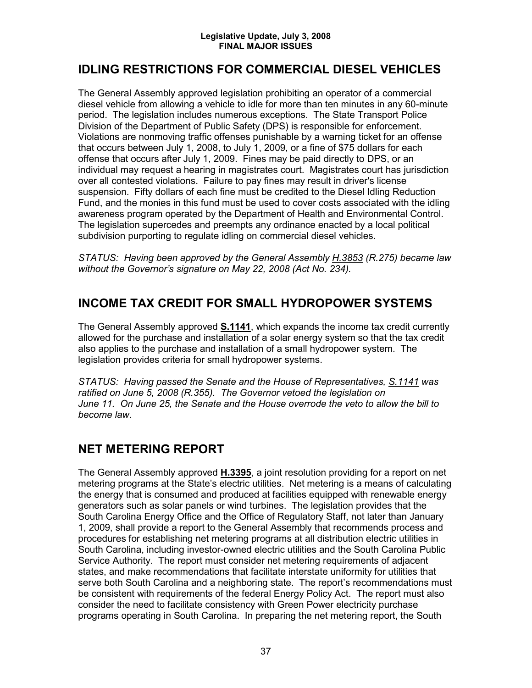## **IDLING RESTRICTIONS FOR COMMERCIAL DIESEL VEHICLES**

The General Assembly approved legislation prohibiting an operator of a commercial diesel vehicle from allowing a vehicle to idle for more than ten minutes in any 60-minute period. The legislation includes numerous exceptions. The State Transport Police Division of the Department of Public Safety (DPS) is responsible for enforcement. Violations are nonmoving traffic offenses punishable by a warning ticket for an offense that occurs between July 1, 2008, to July 1, 2009, or a fine of \$75 dollars for each offense that occurs after July 1, 2009. Fines may be paid directly to DPS, or an individual may request a hearing in magistrates court. Magistrates court has jurisdiction over all contested violations. Failure to pay fines may result in driver's license suspension. Fifty dollars of each fine must be credited to the Diesel Idling Reduction Fund, and the monies in this fund must be used to cover costs associated with the idling awareness program operated by the Department of Health and Environmental Control. The legislation supercedes and preempts any ordinance enacted by a local political subdivision purporting to regulate idling on commercial diesel vehicles.

*STATUS: Having been approved by the General Assembly H.3853 (R.275) became law without the Governor's signature on May 22, 2008 (Act No. 234).*

## **INCOME TAX CREDIT FOR SMALL HYDROPOWER SYSTEMS**

The General Assembly approved **S.1141**, which expands the income tax credit currently allowed for the purchase and installation of a solar energy system so that the tax credit also applies to the purchase and installation of a small hydropower system. The legislation provides criteria for small hydropower systems.

*STATUS: Having passed the Senate and the House of Representatives, S.1141 was ratified on June 5, 2008 (R.355). The Governor vetoed the legislation on June 11. On June 25, the Senate and the House overrode the veto to allow the bill to become law.*

## **NET METERING REPORT**

The General Assembly approved **H.3395**, a joint resolution providing for a report on net metering programs at the State's electric utilities. Net metering is a means of calculating the energy that is consumed and produced at facilities equipped with renewable energy generators such as solar panels or wind turbines. The legislation provides that the South Carolina Energy Office and the Office of Regulatory Staff, not later than January 1, 2009, shall provide a report to the General Assembly that recommends process and procedures for establishing net metering programs at all distribution electric utilities in South Carolina, including investor-owned electric utilities and the South Carolina Public Service Authority. The report must consider net metering requirements of adjacent states, and make recommendations that facilitate interstate uniformity for utilities that serve both South Carolina and a neighboring state. The report's recommendations must be consistent with requirements of the federal Energy Policy Act. The report must also consider the need to facilitate consistency with Green Power electricity purchase programs operating in South Carolina. In preparing the net metering report, the South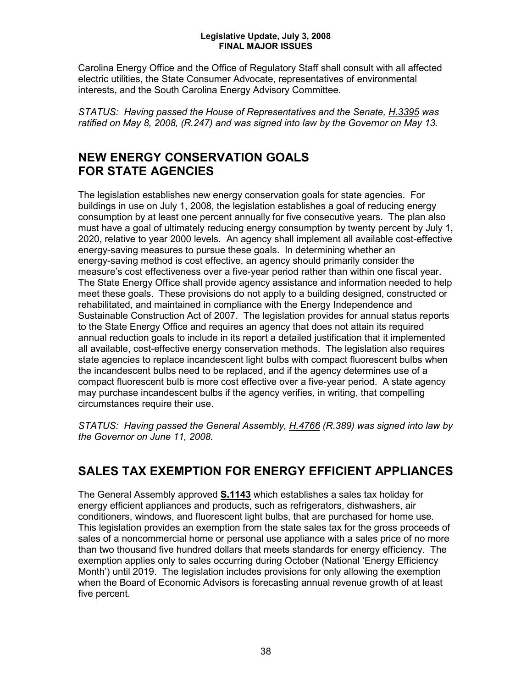Carolina Energy Office and the Office of Regulatory Staff shall consult with all affected electric utilities, the State Consumer Advocate, representatives of environmental interests, and the South Carolina Energy Advisory Committee.

*STATUS: Having passed the House of Representatives and the Senate, H.3395 was ratified on May 8, 2008, (R.247) and was signed into law by the Governor on May 13.*

## **NEW ENERGY CONSERVATION GOALS FOR STATE AGENCIES**

The legislation establishes new energy conservation goals for state agencies. For buildings in use on July 1, 2008, the legislation establishes a goal of reducing energy consumption by at least one percent annually for five consecutive years. The plan also must have a goal of ultimately reducing energy consumption by twenty percent by July 1, 2020, relative to year 2000 levels. An agency shall implement all available cost-effective energy-saving measures to pursue these goals. In determining whether an energy-saving method is cost effective, an agency should primarily consider the measure's cost effectiveness over a five-year period rather than within one fiscal year. The State Energy Office shall provide agency assistance and information needed to help meet these goals. These provisions do not apply to a building designed, constructed or rehabilitated, and maintained in compliance with the Energy Independence and Sustainable Construction Act of 2007. The legislation provides for annual status reports to the State Energy Office and requires an agency that does not attain its required annual reduction goals to include in its report a detailed justification that it implemented all available, cost-effective energy conservation methods. The legislation also requires state agencies to replace incandescent light bulbs with compact fluorescent bulbs when the incandescent bulbs need to be replaced, and if the agency determines use of a compact fluorescent bulb is more cost effective over a five-year period. A state agency may purchase incandescent bulbs if the agency verifies, in writing, that compelling circumstances require their use.

*STATUS: Having passed the General Assembly, H.4766 (R.389) was signed into law by the Governor on June 11, 2008.*

## **SALES TAX EXEMPTION FOR ENERGY EFFICIENT APPLIANCES**

The General Assembly approved **S.1143** which establishes a sales tax holiday for energy efficient appliances and products, such as refrigerators, dishwashers, air conditioners, windows, and fluorescent light bulbs, that are purchased for home use. This legislation provides an exemption from the state sales tax for the gross proceeds of sales of a noncommercial home or personal use appliance with a sales price of no more than two thousand five hundred dollars that meets standards for energy efficiency. The exemption applies only to sales occurring during October (National 'Energy Efficiency Month') until 2019. The legislation includes provisions for only allowing the exemption when the Board of Economic Advisors is forecasting annual revenue growth of at least five percent.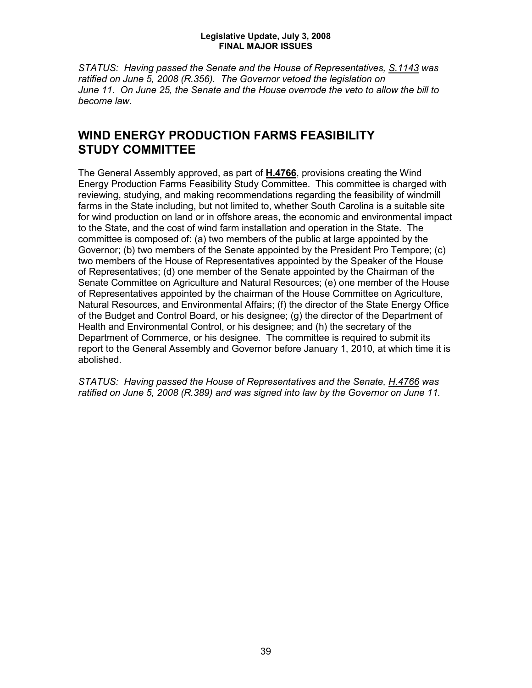*STATUS: Having passed the Senate and the House of Representatives, S.1143 was ratified on June 5, 2008 (R.356). The Governor vetoed the legislation on June 11. On June 25, the Senate and the House overrode the veto to allow the bill to become law.*

## **WIND ENERGY PRODUCTION FARMS FEASIBILITY STUDY COMMITTEE**

The General Assembly approved, as part of **H.4766**, provisions creating the Wind Energy Production Farms Feasibility Study Committee. This committee is charged with reviewing, studying, and making recommendations regarding the feasibility of windmill farms in the State including, but not limited to, whether South Carolina is a suitable site for wind production on land or in offshore areas, the economic and environmental impact to the State, and the cost of wind farm installation and operation in the State. The committee is composed of: (a) two members of the public at large appointed by the Governor; (b) two members of the Senate appointed by the President Pro Tempore; (c) two members of the House of Representatives appointed by the Speaker of the House of Representatives; (d) one member of the Senate appointed by the Chairman of the Senate Committee on Agriculture and Natural Resources; (e) one member of the House of Representatives appointed by the chairman of the House Committee on Agriculture, Natural Resources, and Environmental Affairs; (f) the director of the State Energy Office of the Budget and Control Board, or his designee; (g) the director of the Department of Health and Environmental Control, or his designee; and (h) the secretary of the Department of Commerce, or his designee. The committee is required to submit its report to the General Assembly and Governor before January 1, 2010, at which time it is abolished.

*STATUS: Having passed the House of Representatives and the Senate, H.4766 was ratified on June 5, 2008 (R.389) and was signed into law by the Governor on June 11.*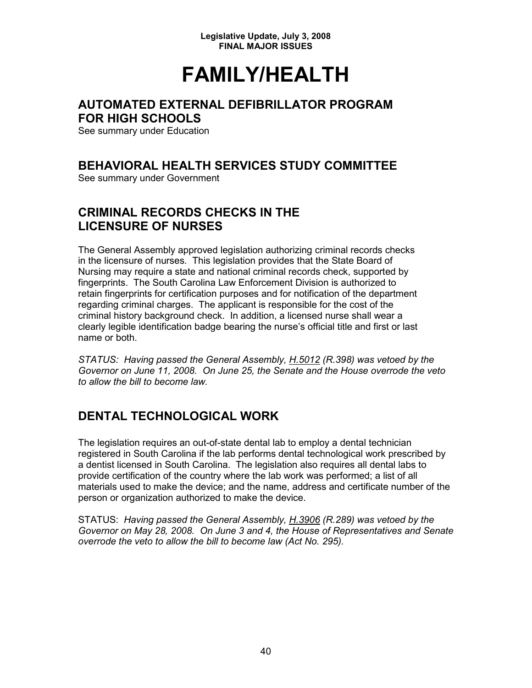## **FAMILY/HEALTH**

## **AUTOMATED EXTERNAL DEFIBRILLATOR PROGRAM FOR HIGH SCHOOLS**

See summary under Education

## **BEHAVIORAL HEALTH SERVICES STUDY COMMITTEE**

See summary under Government

## **CRIMINAL RECORDS CHECKS IN THE LICENSURE OF NURSES**

The General Assembly approved legislation authorizing criminal records checks in the licensure of nurses. This legislation provides that the State Board of Nursing may require a state and national criminal records check, supported by fingerprints. The South Carolina Law Enforcement Division is authorized to retain fingerprints for certification purposes and for notification of the department regarding criminal charges. The applicant is responsible for the cost of the criminal history background check. In addition, a licensed nurse shall wear a clearly legible identification badge bearing the nurse's official title and first or last name or both.

*STATUS: Having passed the General Assembly, H.5012 (R.398) was vetoed by the Governor on June 11, 2008. On June 25, the Senate and the House overrode the veto to allow the bill to become law.*

## **DENTAL TECHNOLOGICAL WORK**

The legislation requires an out-of-state dental lab to employ a dental technician registered in South Carolina if the lab performs dental technological work prescribed by a dentist licensed in South Carolina. The legislation also requires all dental labs to provide certification of the country where the lab work was performed; a list of all materials used to make the device; and the name, address and certificate number of the person or organization authorized to make the device.

STATUS: *Having passed the General Assembly, H.3906 (R.289) was vetoed by the Governor on May 28, 2008. On June 3 and 4, the House of Representatives and Senate overrode the veto to allow the bill to become law (Act No. 295).*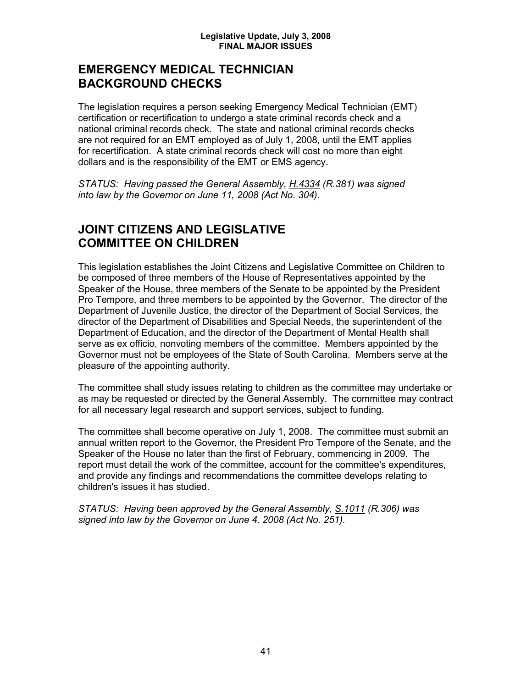## **EMERGENCY MEDICAL TECHNICIAN BACKGROUND CHECKS**

The legislation requires a person seeking Emergency Medical Technician (EMT) certification or recertification to undergo a state criminal records check and a national criminal records check. The state and national criminal records checks are not required for an EMT employed as of July 1, 2008, until the EMT applies for recertification. A state criminal records check will cost no more than eight dollars and is the responsibility of the EMT or EMS agency.

*STATUS: Having passed the General Assembly, H.4334 (R.381) was signed into law by the Governor on June 11, 2008 (Act No. 304).*

## **JOINT CITIZENS AND LEGISLATIVE COMMITTEE ON CHILDREN**

This legislation establishes the Joint Citizens and Legislative Committee on Children to be composed of three members of the House of Representatives appointed by the Speaker of the House, three members of the Senate to be appointed by the President Pro Tempore, and three members to be appointed by the Governor. The director of the Department of Juvenile Justice, the director of the Department of Social Services, the director of the Department of Disabilities and Special Needs, the superintendent of the Department of Education, and the director of the Department of Mental Health shall serve as ex officio, nonvoting members of the committee. Members appointed by the Governor must not be employees of the State of South Carolina. Members serve at the pleasure of the appointing authority.

The committee shall study issues relating to children as the committee may undertake or as may be requested or directed by the General Assembly. The committee may contract for all necessary legal research and support services, subject to funding.

The committee shall become operative on July 1, 2008. The committee must submit an annual written report to the Governor, the President Pro Tempore of the Senate, and the Speaker of the House no later than the first of February, commencing in 2009. The report must detail the work of the committee, account for the committee's expenditures, and provide any findings and recommendations the committee develops relating to children's issues it has studied.

*STATUS: Having been approved by the General Assembly, S.1011 (R.306) was signed into law by the Governor on June 4, 2008 (Act No. 251).*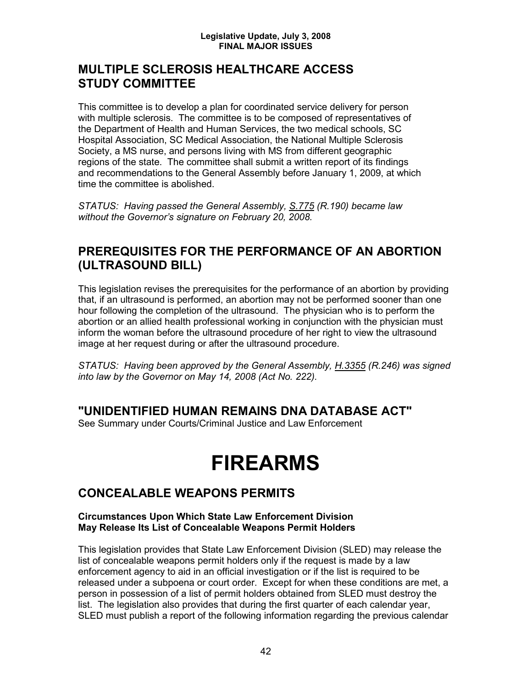## **MULTIPLE SCLEROSIS HEALTHCARE ACCESS STUDY COMMITTEE**

This committee is to develop a plan for coordinated service delivery for person with multiple sclerosis. The committee is to be composed of representatives of the Department of Health and Human Services, the two medical schools, SC Hospital Association, SC Medical Association, the National Multiple Sclerosis Society, a MS nurse, and persons living with MS from different geographic regions of the state. The committee shall submit a written report of its findings and recommendations to the General Assembly before January 1, 2009, at which time the committee is abolished.

*STATUS: Having passed the General Assembly, S.775 (R.190) became law without the Governor's signature on February 20, 2008.* 

## **PREREQUISITES FOR THE PERFORMANCE OF AN ABORTION (ULTRASOUND BILL)**

This legislation revises the prerequisites for the performance of an abortion by providing that, if an ultrasound is performed, an abortion may not be performed sooner than one hour following the completion of the ultrasound. The physician who is to perform the abortion or an allied health professional working in conjunction with the physician must inform the woman before the ultrasound procedure of her right to view the ultrasound image at her request during or after the ultrasound procedure.

*STATUS: Having been approved by the General Assembly, H.3355 (R.246) was signed into law by the Governor on May 14, 2008 (Act No. 222).*

## **"UNIDENTIFIED HUMAN REMAINS DNA DATABASE ACT"**

See Summary under Courts/Criminal Justice and Law Enforcement

## **FIREARMS**

## **CONCEALABLE WEAPONS PERMITS**

#### **Circumstances Upon Which State Law Enforcement Division May Release Its List of Concealable Weapons Permit Holders**

This legislation provides that State Law Enforcement Division (SLED) may release the list of concealable weapons permit holders only if the request is made by a law enforcement agency to aid in an official investigation or if the list is required to be released under a subpoena or court order. Except for when these conditions are met, a person in possession of a list of permit holders obtained from SLED must destroy the list. The legislation also provides that during the first quarter of each calendar year, SLED must publish a report of the following information regarding the previous calendar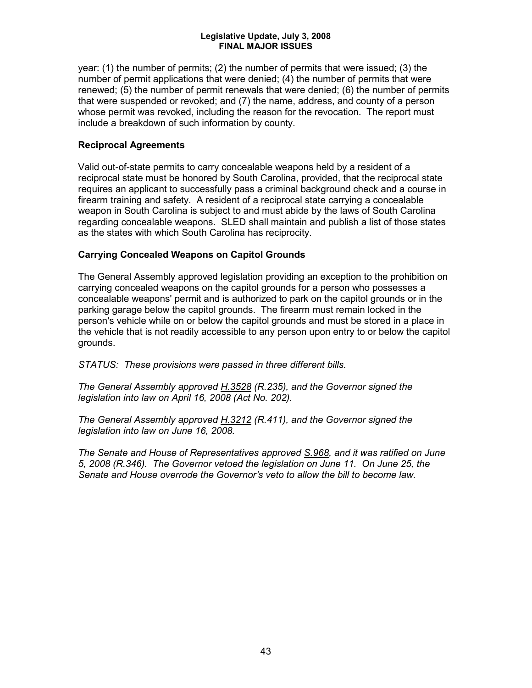year: (1) the number of permits; (2) the number of permits that were issued; (3) the number of permit applications that were denied; (4) the number of permits that were renewed; (5) the number of permit renewals that were denied; (6) the number of permits that were suspended or revoked; and (7) the name, address, and county of a person whose permit was revoked, including the reason for the revocation. The report must include a breakdown of such information by county.

#### **Reciprocal Agreements**

Valid out-of-state permits to carry concealable weapons held by a resident of a reciprocal state must be honored by South Carolina, provided, that the reciprocal state requires an applicant to successfully pass a criminal background check and a course in firearm training and safety. A resident of a reciprocal state carrying a concealable weapon in South Carolina is subject to and must abide by the laws of South Carolina regarding concealable weapons. SLED shall maintain and publish a list of those states as the states with which South Carolina has reciprocity.

#### **Carrying Concealed Weapons on Capitol Grounds**

The General Assembly approved legislation providing an exception to the prohibition on carrying concealed weapons on the capitol grounds for a person who possesses a concealable weapons' permit and is authorized to park on the capitol grounds or in the parking garage below the capitol grounds. The firearm must remain locked in the person's vehicle while on or below the capitol grounds and must be stored in a place in the vehicle that is not readily accessible to any person upon entry to or below the capitol grounds.

*STATUS: These provisions were passed in three different bills.*

*The General Assembly approved H.3528 (R.235), and the Governor signed the legislation into law on April 16, 2008 (Act No. 202).*

*The General Assembly approved H.3212 (R.411), and the Governor signed the legislation into law on June 16, 2008.*

*The Senate and House of Representatives approved S.968, and it was ratified on June 5, 2008 (R.346). The Governor vetoed the legislation on June 11. On June 25, the Senate and House overrode the Governor's veto to allow the bill to become law.*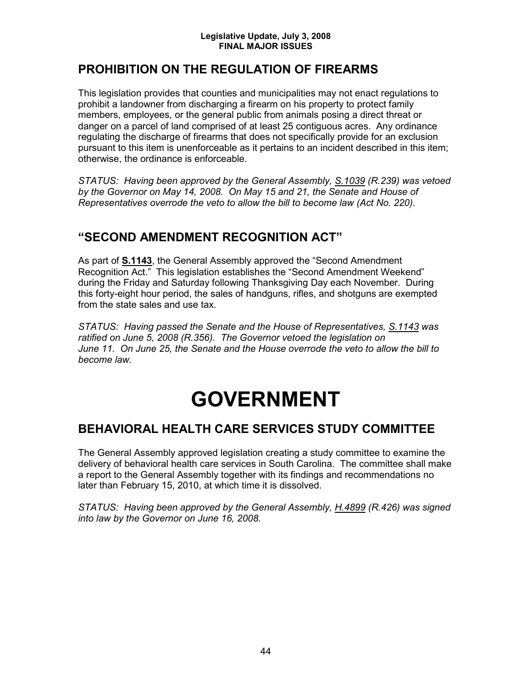## **PROHIBITION ON THE REGULATION OF FIREARMS**

This legislation provides that counties and municipalities may not enact regulations to prohibit a landowner from discharging a firearm on his property to protect family members, employees, or the general public from animals posing a direct threat or danger on a parcel of land comprised of at least 25 contiguous acres. Any ordinance regulating the discharge of firearms that does not specifically provide for an exclusion pursuant to this item is unenforceable as it pertains to an incident described in this item; otherwise, the ordinance is enforceable.

*STATUS: Having been approved by the General Assembly, S.1039 (R.239) was vetoed by the Governor on May 14, 2008. On May 15 and 21, the Senate and House of Representatives overrode the veto to allow the bill to become law (Act No. 220).*

## **"SECOND AMENDMENT RECOGNITION ACT"**

As part of **S.1143**, the General Assembly approved the "Second Amendment Recognition Act." This legislation establishes the "Second Amendment Weekend" during the Friday and Saturday following Thanksgiving Day each November. During this forty-eight hour period, the sales of handguns, rifles, and shotguns are exempted from the state sales and use tax.

*STATUS: Having passed the Senate and the House of Representatives, S.1143 was ratified on June 5, 2008 (R.356). The Governor vetoed the legislation on June 11. On June 25, the Senate and the House overrode the veto to allow the bill to become law.*

## **GOVERNMENT**

## **BEHAVIORAL HEALTH CARE SERVICES STUDY COMMITTEE**

The General Assembly approved legislation creating a study committee to examine the delivery of behavioral health care services in South Carolina. The committee shall make a report to the General Assembly together with its findings and recommendations no later than February 15, 2010, at which time it is dissolved.

*STATUS: Having been approved by the General Assembly, H.4899 (R.426) was signed into law by the Governor on June 16, 2008.*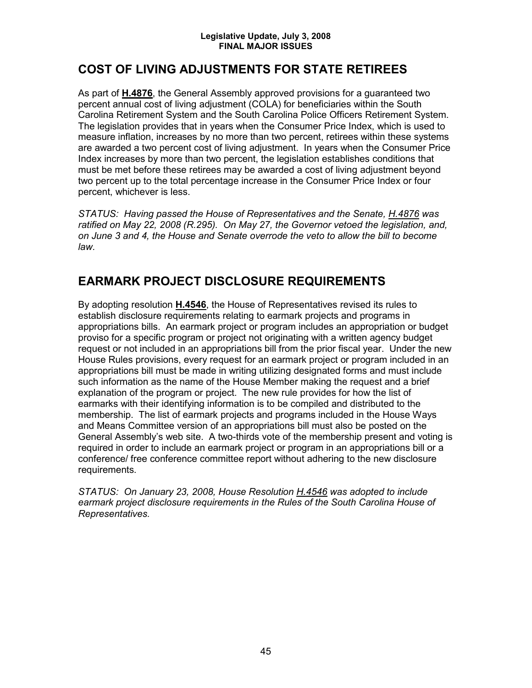## **COST OF LIVING ADJUSTMENTS FOR STATE RETIREES**

As part of **H.4876**, the General Assembly approved provisions for a guaranteed two percent annual cost of living adjustment (COLA) for beneficiaries within the South Carolina Retirement System and the South Carolina Police Officers Retirement System. The legislation provides that in years when the Consumer Price Index, which is used to measure inflation, increases by no more than two percent, retirees within these systems are awarded a two percent cost of living adjustment. In years when the Consumer Price Index increases by more than two percent, the legislation establishes conditions that must be met before these retirees may be awarded a cost of living adjustment beyond two percent up to the total percentage increase in the Consumer Price Index or four percent, whichever is less.

*STATUS: Having passed the House of Representatives and the Senate, H.4876 was ratified on May 22, 2008 (R.295). On May 27, the Governor vetoed the legislation, and, on June 3 and 4, the House and Senate overrode the veto to allow the bill to become law.*

## **EARMARK PROJECT DISCLOSURE REQUIREMENTS**

By adopting resolution **H.4546**, the House of Representatives revised its rules to establish disclosure requirements relating to earmark projects and programs in appropriations bills. An earmark project or program includes an appropriation or budget proviso for a specific program or project not originating with a written agency budget request or not included in an appropriations bill from the prior fiscal year. Under the new House Rules provisions, every request for an earmark project or program included in an appropriations bill must be made in writing utilizing designated forms and must include such information as the name of the House Member making the request and a brief explanation of the program or project. The new rule provides for how the list of earmarks with their identifying information is to be compiled and distributed to the membership. The list of earmark projects and programs included in the House Ways and Means Committee version of an appropriations bill must also be posted on the General Assembly's web site. A two-thirds vote of the membership present and voting is required in order to include an earmark project or program in an appropriations bill or a conference/ free conference committee report without adhering to the new disclosure requirements.

*STATUS: On January 23, 2008, House Resolution H.4546 was adopted to include earmark project disclosure requirements in the Rules of the South Carolina House of Representatives.*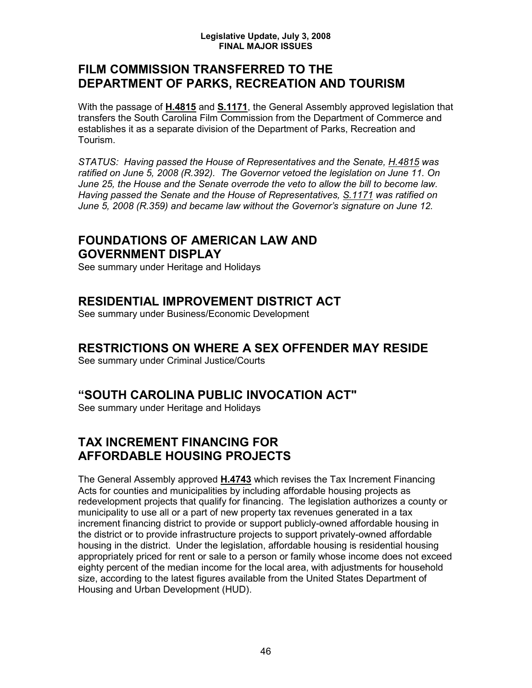### **FILM COMMISSION TRANSFERRED TO THE DEPARTMENT OF PARKS, RECREATION AND TOURISM**

With the passage of **H.4815** and **S.1171**, the General Assembly approved legislation that transfers the South Carolina Film Commission from the Department of Commerce and establishes it as a separate division of the Department of Parks, Recreation and Tourism.

*STATUS: Having passed the House of Representatives and the Senate, H.4815 was ratified on June 5, 2008 (R.392). The Governor vetoed the legislation on June 11. On June 25, the House and the Senate overrode the veto to allow the bill to become law. Having passed the Senate and the House of Representatives, S.1171 was ratified on June 5, 2008 (R.359) and became law without the Governor's signature on June 12.*

## **FOUNDATIONS OF AMERICAN LAW AND GOVERNMENT DISPLAY**

See summary under Heritage and Holidays

## **RESIDENTIAL IMPROVEMENT DISTRICT ACT**

See summary under Business/Economic Development

## **RESTRICTIONS ON WHERE A SEX OFFENDER MAY RESIDE**

See summary under Criminal Justice/Courts

### **"SOUTH CAROLINA PUBLIC INVOCATION ACT"**

See summary under Heritage and Holidays

## **TAX INCREMENT FINANCING FOR AFFORDABLE HOUSING PROJECTS**

The General Assembly approved **H.4743** which revises the Tax Increment Financing Acts for counties and municipalities by including affordable housing projects as redevelopment projects that qualify for financing. The legislation authorizes a county or municipality to use all or a part of new property tax revenues generated in a tax increment financing district to provide or support publicly-owned affordable housing in the district or to provide infrastructure projects to support privately-owned affordable housing in the district. Under the legislation, affordable housing is residential housing appropriately priced for rent or sale to a person or family whose income does not exceed eighty percent of the median income for the local area, with adjustments for household size, according to the latest figures available from the United States Department of Housing and Urban Development (HUD).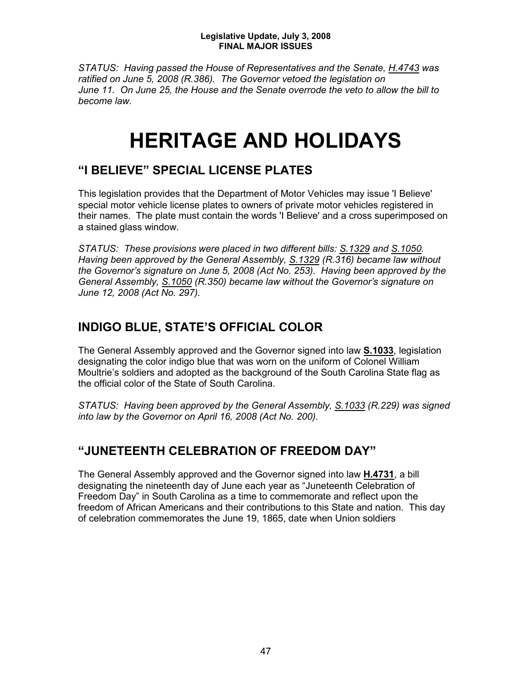*STATUS: Having passed the House of Representatives and the Senate, H.4743 was ratified on June 5, 2008 (R.386). The Governor vetoed the legislation on June 11. On June 25, the House and the Senate overrode the veto to allow the bill to become law.*

## **HERITAGE AND HOLIDAYS**

## **"I BELIEVE" SPECIAL LICENSE PLATES**

This legislation provides that the Department of Motor Vehicles may issue 'I Believe' special motor vehicle license plates to owners of private motor vehicles registered in their names. The plate must contain the words 'I Believe' and a cross superimposed on a stained glass window.

*STATUS: These provisions were placed in two different bills: S.1329 and S.1050. Having been approved by the General Assembly, S.1329 (R.316) became law without the Governor's signature on June 5, 2008 (Act No. 253). Having been approved by the General Assembly, S.1050 (R.350) became law without the Governor's signature on June 12, 2008 (Act No. 297).*

## **INDIGO BLUE, STATE'S OFFICIAL COLOR**

The General Assembly approved and the Governor signed into law **S.1033**, legislation designating the color indigo blue that was worn on the uniform of Colonel William Moultrie's soldiers and adopted as the background of the South Carolina State flag as the official color of the State of South Carolina.

*STATUS: Having been approved by the General Assembly, S.1033 (R.229) was signed into law by the Governor on April 16, 2008 (Act No. 200).*

## **"JUNETEENTH CELEBRATION OF FREEDOM DAY"**

The General Assembly approved and the Governor signed into law **H.4731**, a bill designating the nineteenth day of June each year as "Juneteenth Celebration of Freedom Day" in South Carolina as a time to commemorate and reflect upon the freedom of African Americans and their contributions to this State and nation. This day of celebration commemorates the June 19, 1865, date when Union soldiers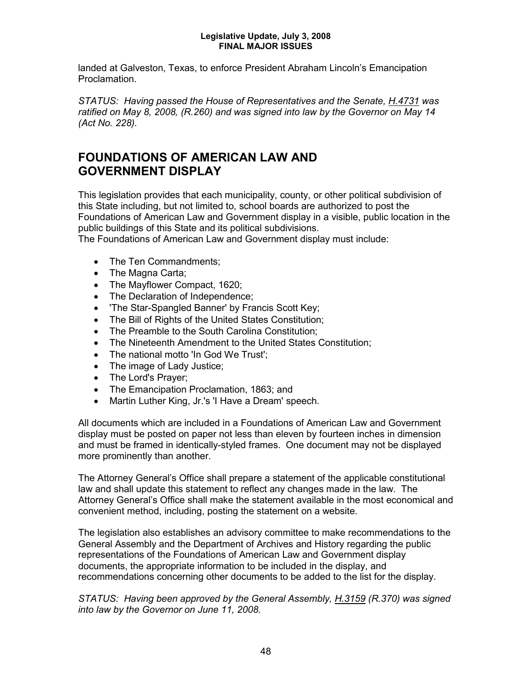landed at Galveston, Texas, to enforce President Abraham Lincoln's Emancipation Proclamation.

*STATUS: Having passed the House of Representatives and the Senate, H.4731 was ratified on May 8, 2008, (R.260) and was signed into law by the Governor on May 14 (Act No. 228).*

## **FOUNDATIONS OF AMERICAN LAW AND GOVERNMENT DISPLAY**

This legislation provides that each municipality, county, or other political subdivision of this State including, but not limited to, school boards are authorized to post the Foundations of American Law and Government display in a visible, public location in the public buildings of this State and its political subdivisions.

The Foundations of American Law and Government display must include:

- The Ten Commandments:
- The Magna Carta;
- The Mayflower Compact, 1620;
- The Declaration of Independence;
- 'The Star-Spangled Banner' by Francis Scott Key;
- The Bill of Rights of the United States Constitution;
- The Preamble to the South Carolina Constitution;
- The Nineteenth Amendment to the United States Constitution;
- The national motto 'In God We Trust';
- The image of Lady Justice;
- The Lord's Prayer;
- The Emancipation Proclamation, 1863; and
- Martin Luther King, Jr.'s 'I Have a Dream' speech.

All documents which are included in a Foundations of American Law and Government display must be posted on paper not less than eleven by fourteen inches in dimension and must be framed in identically-styled frames. One document may not be displayed more prominently than another.

The Attorney General's Office shall prepare a statement of the applicable constitutional law and shall update this statement to reflect any changes made in the law. The Attorney General's Office shall make the statement available in the most economical and convenient method, including, posting the statement on a website.

The legislation also establishes an advisory committee to make recommendations to the General Assembly and the Department of Archives and History regarding the public representations of the Foundations of American Law and Government display documents, the appropriate information to be included in the display, and recommendations concerning other documents to be added to the list for the display.

*STATUS: Having been approved by the General Assembly, H.3159 (R.370) was signed into law by the Governor on June 11, 2008.*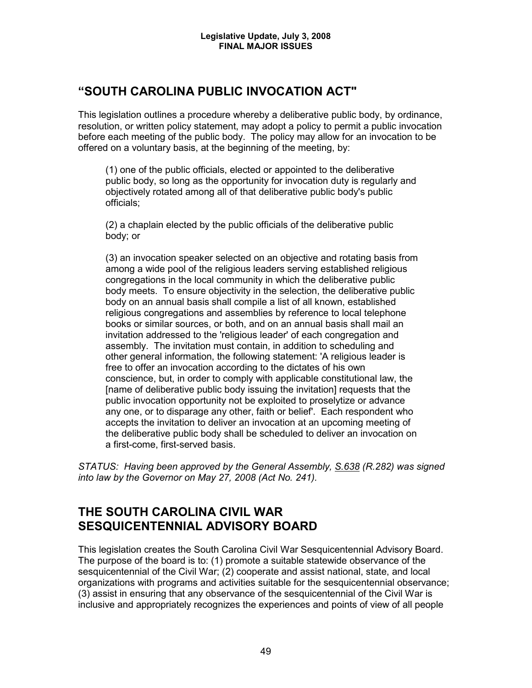## **"SOUTH CAROLINA PUBLIC INVOCATION ACT"**

This legislation outlines a procedure whereby a deliberative public body, by ordinance, resolution, or written policy statement, may adopt a policy to permit a public invocation before each meeting of the public body. The policy may allow for an invocation to be offered on a voluntary basis, at the beginning of the meeting, by:

(1) one of the public officials, elected or appointed to the deliberative public body, so long as the opportunity for invocation duty is regularly and objectively rotated among all of that deliberative public body's public officials;

(2) a chaplain elected by the public officials of the deliberative public body; or

(3) an invocation speaker selected on an objective and rotating basis from among a wide pool of the religious leaders serving established religious congregations in the local community in which the deliberative public body meets. To ensure objectivity in the selection, the deliberative public body on an annual basis shall compile a list of all known, established religious congregations and assemblies by reference to local telephone books or similar sources, or both, and on an annual basis shall mail an invitation addressed to the 'religious leader' of each congregation and assembly. The invitation must contain, in addition to scheduling and other general information, the following statement: 'A religious leader is free to offer an invocation according to the dictates of his own conscience, but, in order to comply with applicable constitutional law, the [name of deliberative public body issuing the invitation] requests that the public invocation opportunity not be exploited to proselytize or advance any one, or to disparage any other, faith or belief'. Each respondent who accepts the invitation to deliver an invocation at an upcoming meeting of the deliberative public body shall be scheduled to deliver an invocation on a first-come, first-served basis.

*STATUS: Having been approved by the General Assembly, S.638 (R.282) was signed into law by the Governor on May 27, 2008 (Act No. 241).*

## **THE SOUTH CAROLINA CIVIL WAR SESQUICENTENNIAL ADVISORY BOARD**

This legislation creates the South Carolina Civil War Sesquicentennial Advisory Board. The purpose of the board is to: (1) promote a suitable statewide observance of the sesquicentennial of the Civil War; (2) cooperate and assist national, state, and local organizations with programs and activities suitable for the sesquicentennial observance; (3) assist in ensuring that any observance of the sesquicentennial of the Civil War is inclusive and appropriately recognizes the experiences and points of view of all people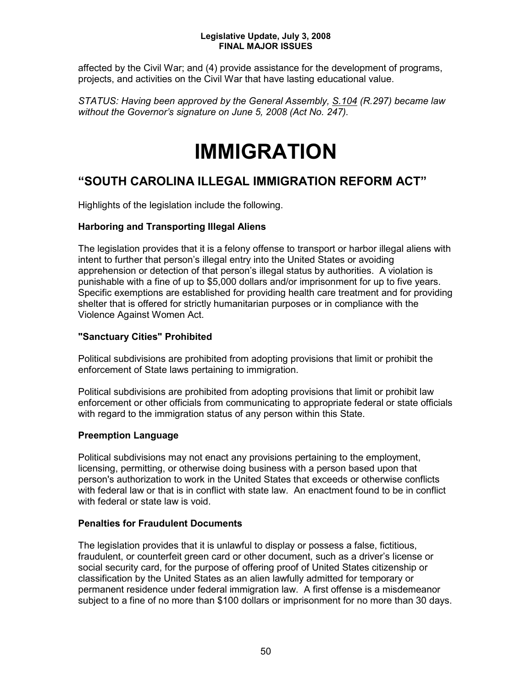affected by the Civil War; and (4) provide assistance for the development of programs, projects, and activities on the Civil War that have lasting educational value.

*STATUS: Having been approved by the General Assembly, S.104 (R.297) became law without the Governor's signature on June 5, 2008 (Act No. 247).*

## **IMMIGRATION**

## **"SOUTH CAROLINA ILLEGAL IMMIGRATION REFORM ACT"**

Highlights of the legislation include the following.

### **Harboring and Transporting Illegal Aliens**

The legislation provides that it is a felony offense to transport or harbor illegal aliens with intent to further that person's illegal entry into the United States or avoiding apprehension or detection of that person's illegal status by authorities. A violation is punishable with a fine of up to \$5,000 dollars and/or imprisonment for up to five years. Specific exemptions are established for providing health care treatment and for providing shelter that is offered for strictly humanitarian purposes or in compliance with the Violence Against Women Act.

### **"Sanctuary Cities" Prohibited**

Political subdivisions are prohibited from adopting provisions that limit or prohibit the enforcement of State laws pertaining to immigration.

Political subdivisions are prohibited from adopting provisions that limit or prohibit law enforcement or other officials from communicating to appropriate federal or state officials with regard to the immigration status of any person within this State.

### **Preemption Language**

Political subdivisions may not enact any provisions pertaining to the employment, licensing, permitting, or otherwise doing business with a person based upon that person's authorization to work in the United States that exceeds or otherwise conflicts with federal law or that is in conflict with state law. An enactment found to be in conflict with federal or state law is void.

### **Penalties for Fraudulent Documents**

The legislation provides that it is unlawful to display or possess a false, fictitious, fraudulent, or counterfeit green card or other document, such as a driver's license or social security card, for the purpose of offering proof of United States citizenship or classification by the United States as an alien lawfully admitted for temporary or permanent residence under federal immigration law. A first offense is a misdemeanor subject to a fine of no more than \$100 dollars or imprisonment for no more than 30 days.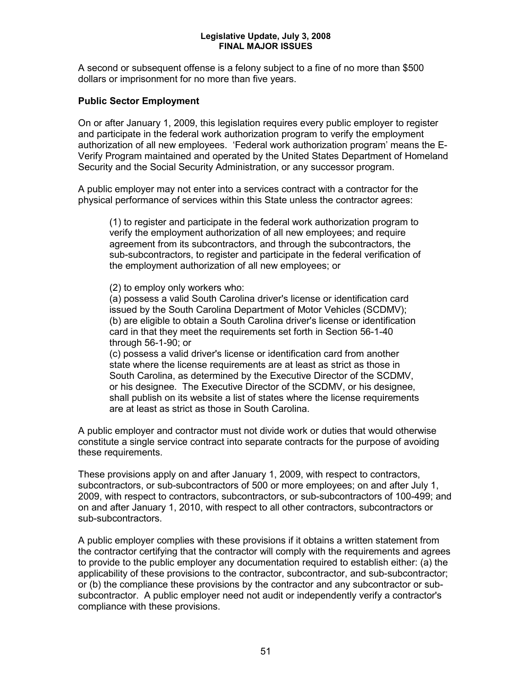A second or subsequent offense is a felony subject to a fine of no more than \$500 dollars or imprisonment for no more than five years.

#### **Public Sector Employment**

On or after January 1, 2009, this legislation requires every public employer to register and participate in the federal work authorization program to verify the employment authorization of all new employees. 'Federal work authorization program' means the E-Verify Program maintained and operated by the United States Department of Homeland Security and the Social Security Administration, or any successor program.

A public employer may not enter into a services contract with a contractor for the physical performance of services within this State unless the contractor agrees:

(1) to register and participate in the federal work authorization program to verify the employment authorization of all new employees; and require agreement from its subcontractors, and through the subcontractors, the sub-subcontractors, to register and participate in the federal verification of the employment authorization of all new employees; or

(2) to employ only workers who:

(a) possess a valid South Carolina driver's license or identification card issued by the South Carolina Department of Motor Vehicles (SCDMV); (b) are eligible to obtain a South Carolina driver's license or identification card in that they meet the requirements set forth in Section 56-1-40 through 56-1-90; or

(c) possess a valid driver's license or identification card from another state where the license requirements are at least as strict as those in South Carolina, as determined by the Executive Director of the SCDMV, or his designee. The Executive Director of the SCDMV, or his designee, shall publish on its website a list of states where the license requirements are at least as strict as those in South Carolina.

A public employer and contractor must not divide work or duties that would otherwise constitute a single service contract into separate contracts for the purpose of avoiding these requirements.

These provisions apply on and after January 1, 2009, with respect to contractors, subcontractors, or sub-subcontractors of 500 or more employees; on and after July 1, 2009, with respect to contractors, subcontractors, or sub-subcontractors of 100-499; and on and after January 1, 2010, with respect to all other contractors, subcontractors or sub-subcontractors.

A public employer complies with these provisions if it obtains a written statement from the contractor certifying that the contractor will comply with the requirements and agrees to provide to the public employer any documentation required to establish either: (a) the applicability of these provisions to the contractor, subcontractor, and sub-subcontractor; or (b) the compliance these provisions by the contractor and any subcontractor or subsubcontractor. A public employer need not audit or independently verify a contractor's compliance with these provisions.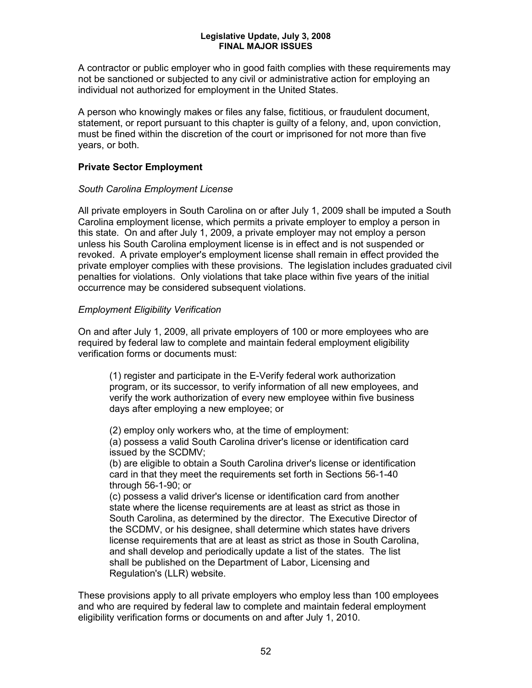A contractor or public employer who in good faith complies with these requirements may not be sanctioned or subjected to any civil or administrative action for employing an individual not authorized for employment in the United States.

A person who knowingly makes or files any false, fictitious, or fraudulent document, statement, or report pursuant to this chapter is guilty of a felony, and, upon conviction, must be fined within the discretion of the court or imprisoned for not more than five years, or both.

#### **Private Sector Employment**

#### *South Carolina Employment License*

All private employers in South Carolina on or after July 1, 2009 shall be imputed a South Carolina employment license, which permits a private employer to employ a person in this state. On and after July 1, 2009, a private employer may not employ a person unless his South Carolina employment license is in effect and is not suspended or revoked. A private employer's employment license shall remain in effect provided the private employer complies with these provisions. The legislation includes graduated civil penalties for violations. Only violations that take place within five years of the initial occurrence may be considered subsequent violations.

#### *Employment Eligibility Verification*

On and after July 1, 2009, all private employers of 100 or more employees who are required by federal law to complete and maintain federal employment eligibility verification forms or documents must:

(1) register and participate in the E-Verify federal work authorization program, or its successor, to verify information of all new employees, and verify the work authorization of every new employee within five business days after employing a new employee; or

(2) employ only workers who, at the time of employment: (a) possess a valid South Carolina driver's license or identification card issued by the SCDMV;

(b) are eligible to obtain a South Carolina driver's license or identification card in that they meet the requirements set forth in Sections 56-1-40 through 56-1-90; or

(c) possess a valid driver's license or identification card from another state where the license requirements are at least as strict as those in South Carolina, as determined by the director. The Executive Director of the SCDMV, or his designee, shall determine which states have drivers license requirements that are at least as strict as those in South Carolina, and shall develop and periodically update a list of the states. The list shall be published on the Department of Labor, Licensing and Regulation's (LLR) website.

These provisions apply to all private employers who employ less than 100 employees and who are required by federal law to complete and maintain federal employment eligibility verification forms or documents on and after July 1, 2010.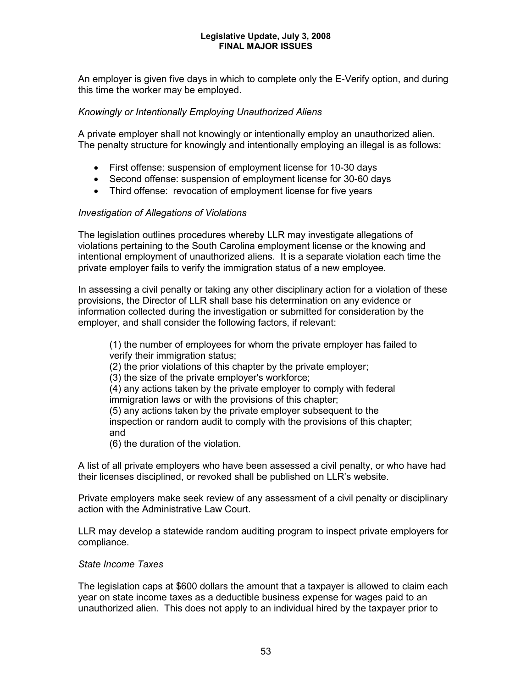An employer is given five days in which to complete only the E-Verify option, and during this time the worker may be employed.

#### *Knowingly or Intentionally Employing Unauthorized Aliens*

A private employer shall not knowingly or intentionally employ an unauthorized alien. The penalty structure for knowingly and intentionally employing an illegal is as follows:

- First offense: suspension of employment license for 10-30 days
- Second offense: suspension of employment license for 30-60 days
- Third offense: revocation of employment license for five years

#### *Investigation of Allegations of Violations*

The legislation outlines procedures whereby LLR may investigate allegations of violations pertaining to the South Carolina employment license or the knowing and intentional employment of unauthorized aliens. It is a separate violation each time the private employer fails to verify the immigration status of a new employee.

In assessing a civil penalty or taking any other disciplinary action for a violation of these provisions, the Director of LLR shall base his determination on any evidence or information collected during the investigation or submitted for consideration by the employer, and shall consider the following factors, if relevant:

(1) the number of employees for whom the private employer has failed to verify their immigration status; (2) the prior violations of this chapter by the private employer; (3) the size of the private employer's workforce; (4) any actions taken by the private employer to comply with federal immigration laws or with the provisions of this chapter; (5) any actions taken by the private employer subsequent to the inspection or random audit to comply with the provisions of this chapter; and (6) the duration of the violation.

A list of all private employers who have been assessed a civil penalty, or who have had their licenses disciplined, or revoked shall be published on LLR's website.

Private employers make seek review of any assessment of a civil penalty or disciplinary action with the Administrative Law Court.

LLR may develop a statewide random auditing program to inspect private employers for compliance.

#### *State Income Taxes*

The legislation caps at \$600 dollars the amount that a taxpayer is allowed to claim each year on state income taxes as a deductible business expense for wages paid to an unauthorized alien. This does not apply to an individual hired by the taxpayer prior to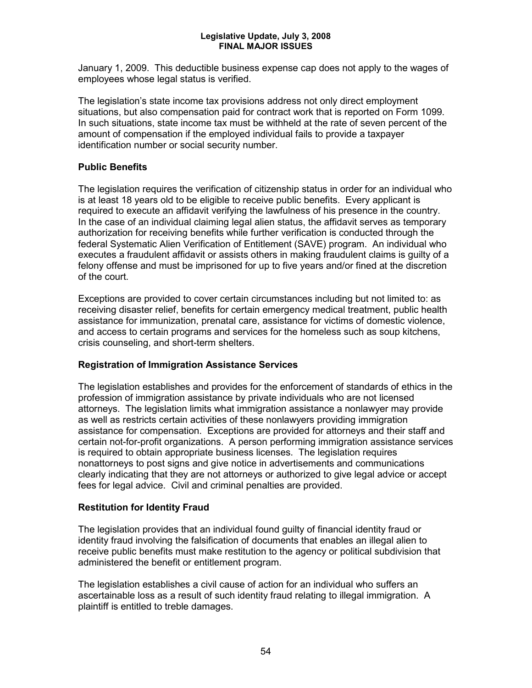January 1, 2009. This deductible business expense cap does not apply to the wages of employees whose legal status is verified.

The legislation's state income tax provisions address not only direct employment situations, but also compensation paid for contract work that is reported on Form 1099. In such situations, state income tax must be withheld at the rate of seven percent of the amount of compensation if the employed individual fails to provide a taxpayer identification number or social security number.

### **Public Benefits**

The legislation requires the verification of citizenship status in order for an individual who is at least 18 years old to be eligible to receive public benefits. Every applicant is required to execute an affidavit verifying the lawfulness of his presence in the country. In the case of an individual claiming legal alien status, the affidavit serves as temporary authorization for receiving benefits while further verification is conducted through the federal Systematic Alien Verification of Entitlement (SAVE) program. An individual who executes a fraudulent affidavit or assists others in making fraudulent claims is guilty of a felony offense and must be imprisoned for up to five years and/or fined at the discretion of the court.

Exceptions are provided to cover certain circumstances including but not limited to: as receiving disaster relief, benefits for certain emergency medical treatment, public health assistance for immunization, prenatal care, assistance for victims of domestic violence, and access to certain programs and services for the homeless such as soup kitchens, crisis counseling, and short-term shelters.

### **Registration of Immigration Assistance Services**

The legislation establishes and provides for the enforcement of standards of ethics in the profession of immigration assistance by private individuals who are not licensed attorneys. The legislation limits what immigration assistance a nonlawyer may provide as well as restricts certain activities of these nonlawyers providing immigration assistance for compensation. Exceptions are provided for attorneys and their staff and certain not-for-profit organizations. A person performing immigration assistance services is required to obtain appropriate business licenses. The legislation requires nonattorneys to post signs and give notice in advertisements and communications clearly indicating that they are not attorneys or authorized to give legal advice or accept fees for legal advice. Civil and criminal penalties are provided.

### **Restitution for Identity Fraud**

The legislation provides that an individual found guilty of financial identity fraud or identity fraud involving the falsification of documents that enables an illegal alien to receive public benefits must make restitution to the agency or political subdivision that administered the benefit or entitlement program.

The legislation establishes a civil cause of action for an individual who suffers an ascertainable loss as a result of such identity fraud relating to illegal immigration. A plaintiff is entitled to treble damages.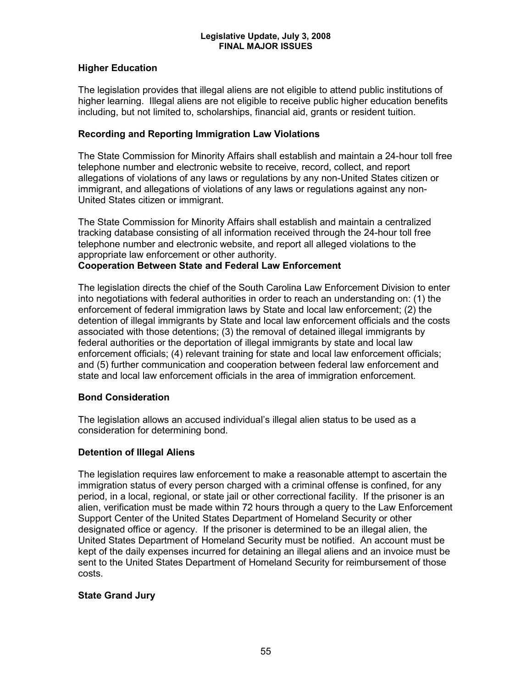#### **Higher Education**

The legislation provides that illegal aliens are not eligible to attend public institutions of higher learning. Illegal aliens are not eligible to receive public higher education benefits including, but not limited to, scholarships, financial aid, grants or resident tuition.

#### **Recording and Reporting Immigration Law Violations**

The State Commission for Minority Affairs shall establish and maintain a 24-hour toll free telephone number and electronic website to receive, record, collect, and report allegations of violations of any laws or regulations by any non-United States citizen or immigrant, and allegations of violations of any laws or regulations against any non-United States citizen or immigrant.

The State Commission for Minority Affairs shall establish and maintain a centralized tracking database consisting of all information received through the 24-hour toll free telephone number and electronic website, and report all alleged violations to the appropriate law enforcement or other authority.

#### **Cooperation Between State and Federal Law Enforcement**

The legislation directs the chief of the South Carolina Law Enforcement Division to enter into negotiations with federal authorities in order to reach an understanding on: (1) the enforcement of federal immigration laws by State and local law enforcement; (2) the detention of illegal immigrants by State and local law enforcement officials and the costs associated with those detentions; (3) the removal of detained illegal immigrants by federal authorities or the deportation of illegal immigrants by state and local law enforcement officials; (4) relevant training for state and local law enforcement officials; and (5) further communication and cooperation between federal law enforcement and state and local law enforcement officials in the area of immigration enforcement.

#### **Bond Consideration**

The legislation allows an accused individual's illegal alien status to be used as a consideration for determining bond.

#### **Detention of Illegal Aliens**

The legislation requires law enforcement to make a reasonable attempt to ascertain the immigration status of every person charged with a criminal offense is confined, for any period, in a local, regional, or state jail or other correctional facility. If the prisoner is an alien, verification must be made within 72 hours through a query to the Law Enforcement Support Center of the United States Department of Homeland Security or other designated office or agency. If the prisoner is determined to be an illegal alien, the United States Department of Homeland Security must be notified. An account must be kept of the daily expenses incurred for detaining an illegal aliens and an invoice must be sent to the United States Department of Homeland Security for reimbursement of those costs.

#### **State Grand Jury**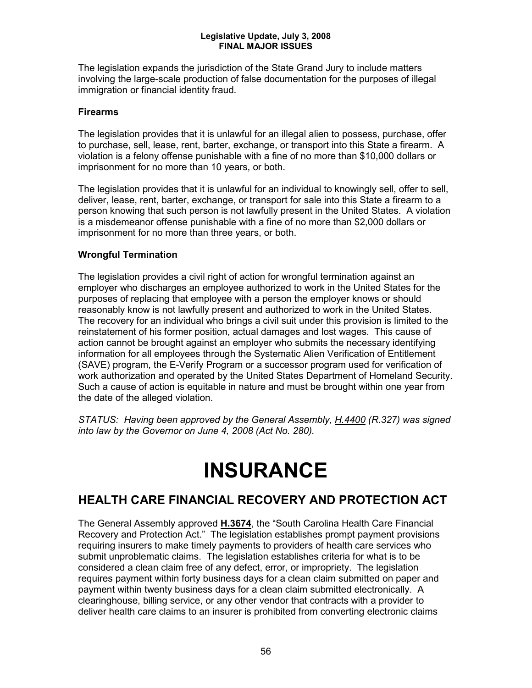The legislation expands the jurisdiction of the State Grand Jury to include matters involving the large-scale production of false documentation for the purposes of illegal immigration or financial identity fraud.

#### **Firearms**

The legislation provides that it is unlawful for an illegal alien to possess, purchase, offer to purchase, sell, lease, rent, barter, exchange, or transport into this State a firearm. A violation is a felony offense punishable with a fine of no more than \$10,000 dollars or imprisonment for no more than 10 years, or both.

The legislation provides that it is unlawful for an individual to knowingly sell, offer to sell, deliver, lease, rent, barter, exchange, or transport for sale into this State a firearm to a person knowing that such person is not lawfully present in the United States. A violation is a misdemeanor offense punishable with a fine of no more than \$2,000 dollars or imprisonment for no more than three years, or both.

### **Wrongful Termination**

The legislation provides a civil right of action for wrongful termination against an employer who discharges an employee authorized to work in the United States for the purposes of replacing that employee with a person the employer knows or should reasonably know is not lawfully present and authorized to work in the United States. The recovery for an individual who brings a civil suit under this provision is limited to the reinstatement of his former position, actual damages and lost wages. This cause of action cannot be brought against an employer who submits the necessary identifying information for all employees through the Systematic Alien Verification of Entitlement (SAVE) program, the E-Verify Program or a successor program used for verification of work authorization and operated by the United States Department of Homeland Security. Such a cause of action is equitable in nature and must be brought within one year from the date of the alleged violation.

*STATUS: Having been approved by the General Assembly, H.4400 (R.327) was signed into law by the Governor on June 4, 2008 (Act No. 280).* 

## **INSURANCE**

## **HEALTH CARE FINANCIAL RECOVERY AND PROTECTION ACT**

The General Assembly approved **H.3674**, the "South Carolina Health Care Financial Recovery and Protection Act." The legislation establishes prompt payment provisions requiring insurers to make timely payments to providers of health care services who submit unproblematic claims. The legislation establishes criteria for what is to be considered a clean claim free of any defect, error, or impropriety. The legislation requires payment within forty business days for a clean claim submitted on paper and payment within twenty business days for a clean claim submitted electronically. A clearinghouse, billing service, or any other vendor that contracts with a provider to deliver health care claims to an insurer is prohibited from converting electronic claims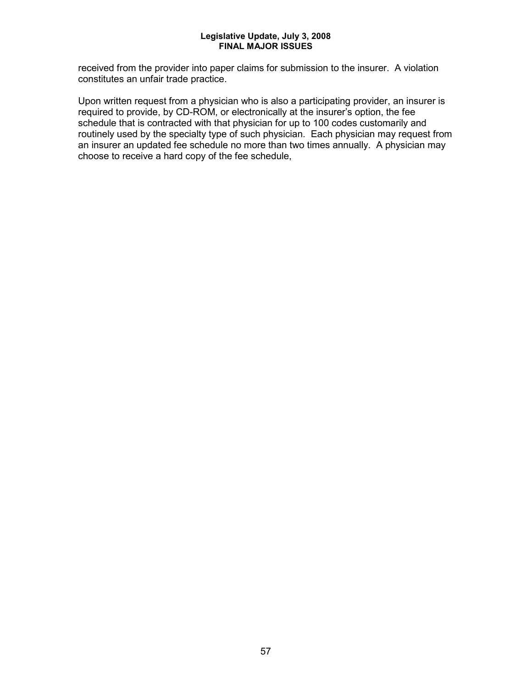received from the provider into paper claims for submission to the insurer. A violation constitutes an unfair trade practice.

Upon written request from a physician who is also a participating provider, an insurer is required to provide, by CD-ROM, or electronically at the insurer's option, the fee schedule that is contracted with that physician for up to 100 codes customarily and routinely used by the specialty type of such physician. Each physician may request from an insurer an updated fee schedule no more than two times annually. A physician may choose to receive a hard copy of the fee schedule,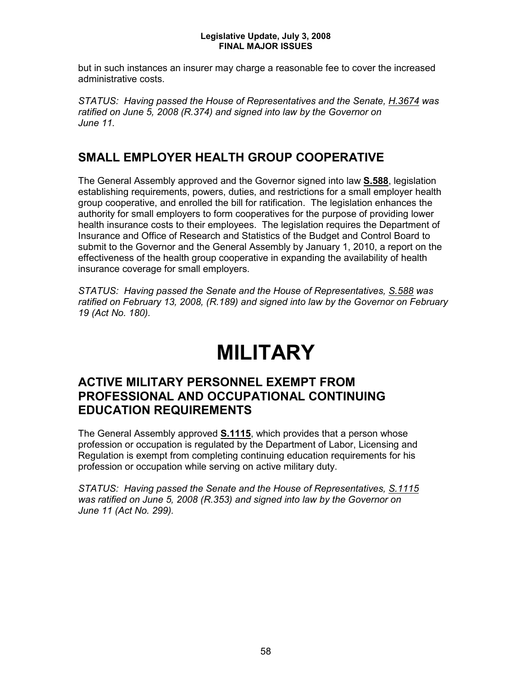but in such instances an insurer may charge a reasonable fee to cover the increased administrative costs.

*STATUS: Having passed the House of Representatives and the Senate, H.3674 was ratified on June 5, 2008 (R.374) and signed into law by the Governor on June 11.*

## **SMALL EMPLOYER HEALTH GROUP COOPERATIVE**

The General Assembly approved and the Governor signed into law **S.588**, legislation establishing requirements, powers, duties, and restrictions for a small employer health group cooperative, and enrolled the bill for ratification. The legislation enhances the authority for small employers to form cooperatives for the purpose of providing lower health insurance costs to their employees. The legislation requires the Department of Insurance and Office of Research and Statistics of the Budget and Control Board to submit to the Governor and the General Assembly by January 1, 2010, a report on the effectiveness of the health group cooperative in expanding the availability of health insurance coverage for small employers.

*STATUS: Having passed the Senate and the House of Representatives, S.588 was ratified on February 13, 2008, (R.189) and signed into law by the Governor on February 19 (Act No. 180).*

## **MILITARY**

## **ACTIVE MILITARY PERSONNEL EXEMPT FROM PROFESSIONAL AND OCCUPATIONAL CONTINUING EDUCATION REQUIREMENTS**

The General Assembly approved **S.1115**, which provides that a person whose profession or occupation is regulated by the Department of Labor, Licensing and Regulation is exempt from completing continuing education requirements for his profession or occupation while serving on active military duty.

*STATUS: Having passed the Senate and the House of Representatives, S.1115 was ratified on June 5, 2008 (R.353) and signed into law by the Governor on June 11 (Act No. 299).*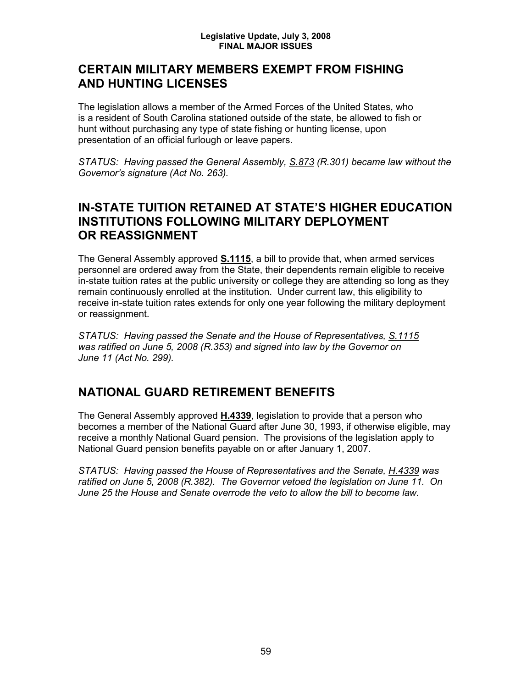## **CERTAIN MILITARY MEMBERS EXEMPT FROM FISHING AND HUNTING LICENSES**

The legislation allows a member of the Armed Forces of the United States, who is a resident of South Carolina stationed outside of the state, be allowed to fish or hunt without purchasing any type of state fishing or hunting license, upon presentation of an official furlough or leave papers.

*STATUS: Having passed the General Assembly, S.873 (R.301) became law without the Governor's signature (Act No. 263).*

## **IN-STATE TUITION RETAINED AT STATE'S HIGHER EDUCATION INSTITUTIONS FOLLOWING MILITARY DEPLOYMENT OR REASSIGNMENT**

The General Assembly approved **S.1115**, a bill to provide that, when armed services personnel are ordered away from the State, their dependents remain eligible to receive in-state tuition rates at the public university or college they are attending so long as they remain continuously enrolled at the institution. Under current law, this eligibility to receive in-state tuition rates extends for only one year following the military deployment or reassignment.

*STATUS: Having passed the Senate and the House of Representatives, S.1115 was ratified on June 5, 2008 (R.353) and signed into law by the Governor on June 11 (Act No. 299).*

## **NATIONAL GUARD RETIREMENT BENEFITS**

The General Assembly approved **H.4339**, legislation to provide that a person who becomes a member of the National Guard after June 30, 1993, if otherwise eligible, may receive a monthly National Guard pension. The provisions of the legislation apply to National Guard pension benefits payable on or after January 1, 2007.

*STATUS: Having passed the House of Representatives and the Senate, H.4339 was ratified on June 5, 2008 (R.382). The Governor vetoed the legislation on June 11. On June 25 the House and Senate overrode the veto to allow the bill to become law.*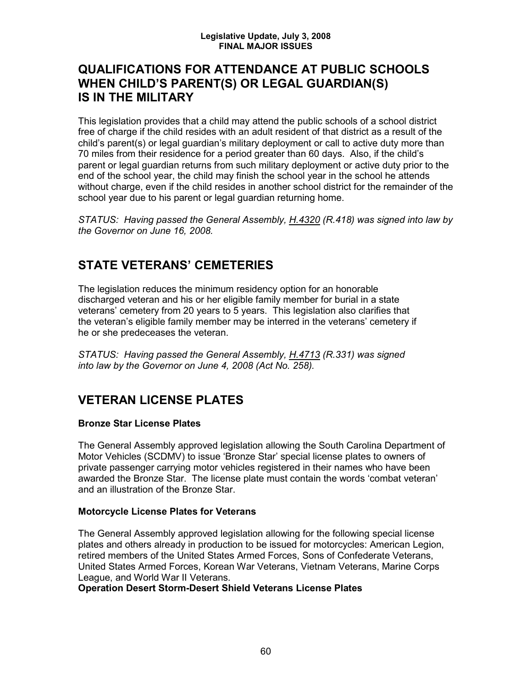## **QUALIFICATIONS FOR ATTENDANCE AT PUBLIC SCHOOLS WHEN CHILD'S PARENT(S) OR LEGAL GUARDIAN(S) IS IN THE MILITARY**

This legislation provides that a child may attend the public schools of a school district free of charge if the child resides with an adult resident of that district as a result of the child's parent(s) or legal guardian's military deployment or call to active duty more than 70 miles from their residence for a period greater than 60 days. Also, if the child's parent or legal guardian returns from such military deployment or active duty prior to the end of the school year, the child may finish the school year in the school he attends without charge, even if the child resides in another school district for the remainder of the school year due to his parent or legal guardian returning home.

*STATUS: Having passed the General Assembly, H.4320 (R.418) was signed into law by the Governor on June 16, 2008.*

## **STATE VETERANS' CEMETERIES**

The legislation reduces the minimum residency option for an honorable discharged veteran and his or her eligible family member for burial in a state veterans' cemetery from 20 years to 5 years. This legislation also clarifies that the veteran's eligible family member may be interred in the veterans' cemetery if he or she predeceases the veteran.

*STATUS: Having passed the General Assembly, H.4713 (R.331) was signed into law by the Governor on June 4, 2008 (Act No. 258).* 

## **VETERAN LICENSE PLATES**

### **Bronze Star License Plates**

The General Assembly approved legislation allowing the South Carolina Department of Motor Vehicles (SCDMV) to issue 'Bronze Star' special license plates to owners of private passenger carrying motor vehicles registered in their names who have been awarded the Bronze Star. The license plate must contain the words 'combat veteran' and an illustration of the Bronze Star.

### **Motorcycle License Plates for Veterans**

The General Assembly approved legislation allowing for the following special license plates and others already in production to be issued for motorcycles: American Legion, retired members of the United States Armed Forces, Sons of Confederate Veterans, United States Armed Forces, Korean War Veterans, Vietnam Veterans, Marine Corps League, and World War II Veterans.

### **Operation Desert Storm-Desert Shield Veterans License Plates**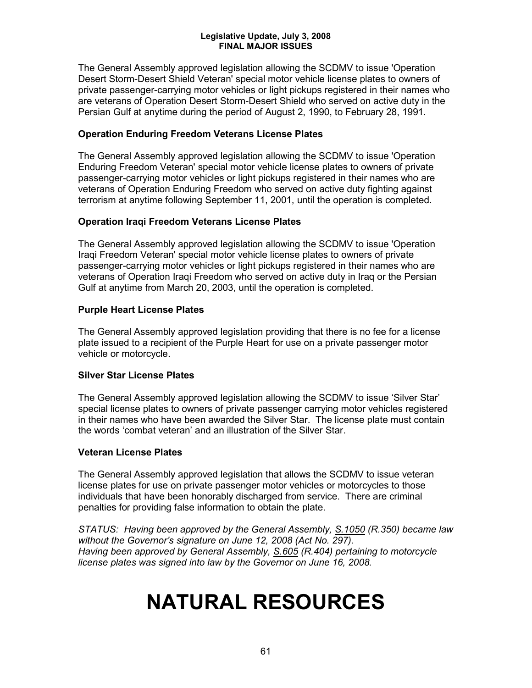The General Assembly approved legislation allowing the SCDMV to issue 'Operation Desert Storm-Desert Shield Veteran' special motor vehicle license plates to owners of private passenger-carrying motor vehicles or light pickups registered in their names who are veterans of Operation Desert Storm-Desert Shield who served on active duty in the Persian Gulf at anytime during the period of August 2, 1990, to February 28, 1991.

#### **Operation Enduring Freedom Veterans License Plates**

The General Assembly approved legislation allowing the SCDMV to issue 'Operation Enduring Freedom Veteran' special motor vehicle license plates to owners of private passenger-carrying motor vehicles or light pickups registered in their names who are veterans of Operation Enduring Freedom who served on active duty fighting against terrorism at anytime following September 11, 2001, until the operation is completed.

#### **Operation Iraqi Freedom Veterans License Plates**

The General Assembly approved legislation allowing the SCDMV to issue 'Operation Iraqi Freedom Veteran' special motor vehicle license plates to owners of private passenger-carrying motor vehicles or light pickups registered in their names who are veterans of Operation Iraqi Freedom who served on active duty in Iraq or the Persian Gulf at anytime from March 20, 2003, until the operation is completed.

#### **Purple Heart License Plates**

The General Assembly approved legislation providing that there is no fee for a license plate issued to a recipient of the Purple Heart for use on a private passenger motor vehicle or motorcycle.

#### **Silver Star License Plates**

The General Assembly approved legislation allowing the SCDMV to issue 'Silver Star' special license plates to owners of private passenger carrying motor vehicles registered in their names who have been awarded the Silver Star. The license plate must contain the words 'combat veteran' and an illustration of the Silver Star.

#### **Veteran License Plates**

The General Assembly approved legislation that allows the SCDMV to issue veteran license plates for use on private passenger motor vehicles or motorcycles to those individuals that have been honorably discharged from service. There are criminal penalties for providing false information to obtain the plate.

*STATUS: Having been approved by the General Assembly, S.1050 (R.350) became law without the Governor's signature on June 12, 2008 (Act No. 297). Having been approved by General Assembly, S.605 (R.404) pertaining to motorcycle license plates was signed into law by the Governor on June 16, 2008.*

## **NATURAL RESOURCES**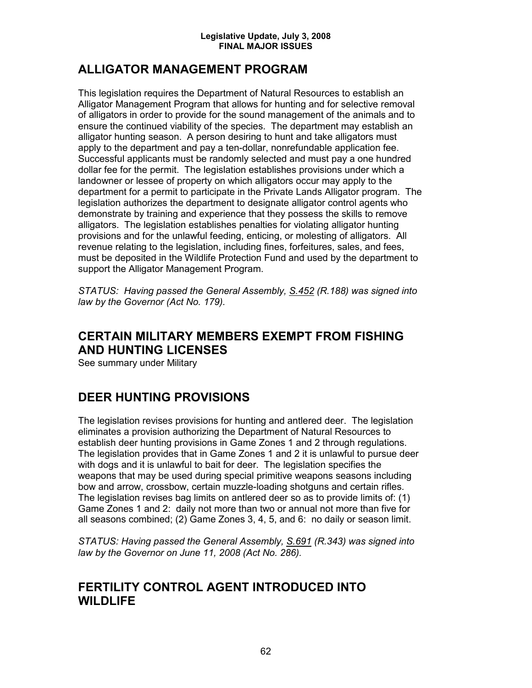## **ALLIGATOR MANAGEMENT PROGRAM**

This legislation requires the Department of Natural Resources to establish an Alligator Management Program that allows for hunting and for selective removal of alligators in order to provide for the sound management of the animals and to ensure the continued viability of the species. The department may establish an alligator hunting season. A person desiring to hunt and take alligators must apply to the department and pay a ten-dollar, nonrefundable application fee. Successful applicants must be randomly selected and must pay a one hundred dollar fee for the permit. The legislation establishes provisions under which a landowner or lessee of property on which alligators occur may apply to the department for a permit to participate in the Private Lands Alligator program. The legislation authorizes the department to designate alligator control agents who demonstrate by training and experience that they possess the skills to remove alligators. The legislation establishes penalties for violating alligator hunting provisions and for the unlawful feeding, enticing, or molesting of alligators. All revenue relating to the legislation, including fines, forfeitures, sales, and fees, must be deposited in the Wildlife Protection Fund and used by the department to support the Alligator Management Program.

*STATUS: Having passed the General Assembly, S.452 (R.188) was signed into law by the Governor (Act No. 179).*

## **CERTAIN MILITARY MEMBERS EXEMPT FROM FISHING AND HUNTING LICENSES**

See summary under Military

## **DEER HUNTING PROVISIONS**

The legislation revises provisions for hunting and antlered deer. The legislation eliminates a provision authorizing the Department of Natural Resources to establish deer hunting provisions in Game Zones 1 and 2 through regulations. The legislation provides that in Game Zones 1 and 2 it is unlawful to pursue deer with dogs and it is unlawful to bait for deer. The legislation specifies the weapons that may be used during special primitive weapons seasons including bow and arrow, crossbow, certain muzzle-loading shotguns and certain rifles. The legislation revises bag limits on antlered deer so as to provide limits of: (1) Game Zones 1 and 2: daily not more than two or annual not more than five for all seasons combined; (2) Game Zones 3, 4, 5, and 6: no daily or season limit.

*STATUS: Having passed the General Assembly, S.691 (R.343) was signed into law by the Governor on June 11, 2008 (Act No. 286).*

### **FERTILITY CONTROL AGENT INTRODUCED INTO WILDLIFE**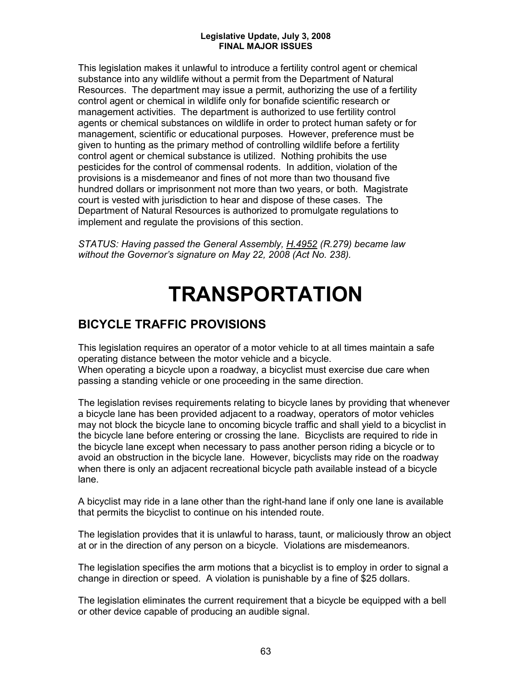This legislation makes it unlawful to introduce a fertility control agent or chemical substance into any wildlife without a permit from the Department of Natural Resources. The department may issue a permit, authorizing the use of a fertility control agent or chemical in wildlife only for bonafide scientific research or management activities. The department is authorized to use fertility control agents or chemical substances on wildlife in order to protect human safety or for management, scientific or educational purposes. However, preference must be given to hunting as the primary method of controlling wildlife before a fertility control agent or chemical substance is utilized. Nothing prohibits the use pesticides for the control of commensal rodents. In addition, violation of the provisions is a misdemeanor and fines of not more than two thousand five hundred dollars or imprisonment not more than two years, or both. Magistrate court is vested with jurisdiction to hear and dispose of these cases. The Department of Natural Resources is authorized to promulgate regulations to implement and regulate the provisions of this section.

*STATUS: Having passed the General Assembly, H.4952 (R.279) became law without the Governor's signature on May 22, 2008 (Act No. 238).*

## **TRANSPORTATION**

## **BICYCLE TRAFFIC PROVISIONS**

This legislation requires an operator of a motor vehicle to at all times maintain a safe operating distance between the motor vehicle and a bicycle.

When operating a bicycle upon a roadway, a bicyclist must exercise due care when passing a standing vehicle or one proceeding in the same direction.

The legislation revises requirements relating to bicycle lanes by providing that whenever a bicycle lane has been provided adjacent to a roadway, operators of motor vehicles may not block the bicycle lane to oncoming bicycle traffic and shall yield to a bicyclist in the bicycle lane before entering or crossing the lane. Bicyclists are required to ride in the bicycle lane except when necessary to pass another person riding a bicycle or to avoid an obstruction in the bicycle lane. However, bicyclists may ride on the roadway when there is only an adjacent recreational bicycle path available instead of a bicycle lane.

A bicyclist may ride in a lane other than the right-hand lane if only one lane is available that permits the bicyclist to continue on his intended route.

The legislation provides that it is unlawful to harass, taunt, or maliciously throw an object at or in the direction of any person on a bicycle. Violations are misdemeanors.

The legislation specifies the arm motions that a bicyclist is to employ in order to signal a change in direction or speed. A violation is punishable by a fine of \$25 dollars.

The legislation eliminates the current requirement that a bicycle be equipped with a bell or other device capable of producing an audible signal.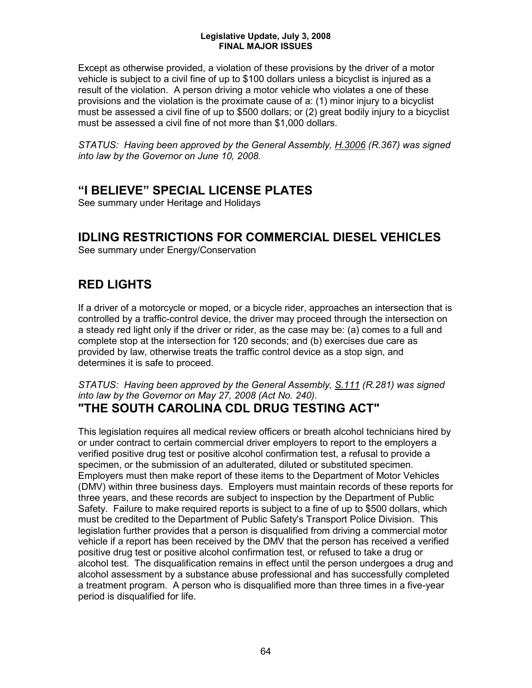Except as otherwise provided, a violation of these provisions by the driver of a motor vehicle is subject to a civil fine of up to \$100 dollars unless a bicyclist is injured as a result of the violation. A person driving a motor vehicle who violates a one of these provisions and the violation is the proximate cause of a: (1) minor injury to a bicyclist must be assessed a civil fine of up to \$500 dollars; or (2) great bodily injury to a bicyclist must be assessed a civil fine of not more than \$1,000 dollars.

*STATUS: Having been approved by the General Assembly, H.3006 (R.367) was signed into law by the Governor on June 10, 2008.*

## **"I BELIEVE" SPECIAL LICENSE PLATES**

See summary under Heritage and Holidays

## **IDLING RESTRICTIONS FOR COMMERCIAL DIESEL VEHICLES**

See summary under Energy/Conservation

## **RED LIGHTS**

If a driver of a motorcycle or moped, or a bicycle rider, approaches an intersection that is controlled by a traffic-control device, the driver may proceed through the intersection on a steady red light only if the driver or rider, as the case may be: (a) comes to a full and complete stop at the intersection for 120 seconds; and (b) exercises due care as provided by law, otherwise treats the traffic control device as a stop sign, and determines it is safe to proceed.

*STATUS: Having been approved by the General Assembly, S.111 (R.281) was signed into law by the Governor on May 27, 2008 (Act No. 240).*

## **"THE SOUTH CAROLINA CDL DRUG TESTING ACT"**

This legislation requires all medical review officers or breath alcohol technicians hired by or under contract to certain commercial driver employers to report to the employers a verified positive drug test or positive alcohol confirmation test, a refusal to provide a specimen, or the submission of an adulterated, diluted or substituted specimen. Employers must then make report of these items to the Department of Motor Vehicles (DMV) within three business days. Employers must maintain records of these reports for three years, and these records are subject to inspection by the Department of Public Safety. Failure to make required reports is subject to a fine of up to \$500 dollars, which must be credited to the Department of Public Safety's Transport Police Division. This legislation further provides that a person is disqualified from driving a commercial motor vehicle if a report has been received by the DMV that the person has received a verified positive drug test or positive alcohol confirmation test, or refused to take a drug or alcohol test. The disqualification remains in effect until the person undergoes a drug and alcohol assessment by a substance abuse professional and has successfully completed a treatment program. A person who is disqualified more than three times in a five-year period is disqualified for life.